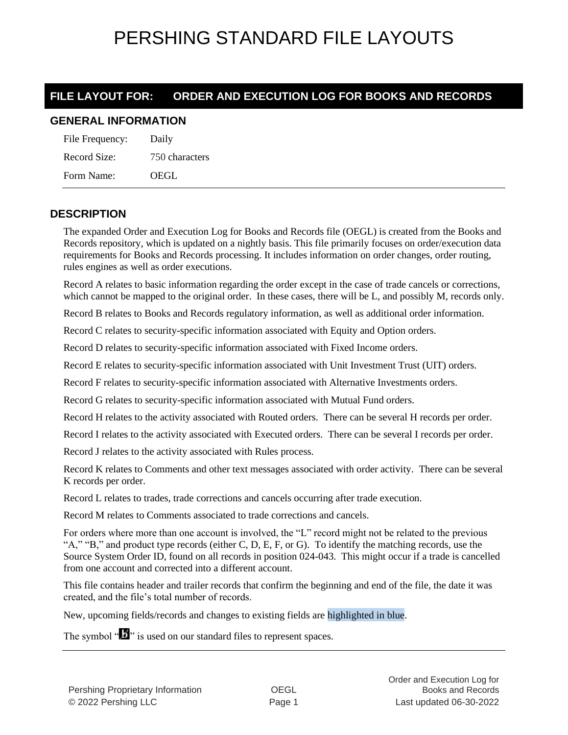### **FILE LAYOUT FOR: ORDER AND EXECUTION LOG FOR BOOKS AND RECORDS**

### **GENERAL INFORMATION**

| File Frequency: | Daily          |
|-----------------|----------------|
| Record Size:    | 750 characters |
| Form Name:      | OEGL           |

#### **DESCRIPTION**

The expanded Order and Execution Log for Books and Records file (OEGL) is created from the Books and Records repository, which is updated on a nightly basis. This file primarily focuses on order/execution data requirements for Books and Records processing. It includes information on order changes, order routing, rules engines as well as order executions.

Record A relates to basic information regarding the order except in the case of trade cancels or corrections, which cannot be mapped to the original order. In these cases, there will be L, and possibly M, records only.

Record B relates to Books and Records regulatory information, as well as additional order information.

Record C relates to security-specific information associated with Equity and Option orders.

Record D relates to security-specific information associated with Fixed Income orders.

Record E relates to security-specific information associated with Unit Investment Trust (UIT) orders.

Record F relates to security-specific information associated with Alternative Investments orders.

Record G relates to security-specific information associated with Mutual Fund orders.

Record H relates to the activity associated with Routed orders. There can be several H records per order.

Record I relates to the activity associated with Executed orders. There can be several I records per order.

Record J relates to the activity associated with Rules process.

Record K relates to Comments and other text messages associated with order activity. There can be several K records per order.

Record L relates to trades, trade corrections and cancels occurring after trade execution.

Record M relates to Comments associated to trade corrections and cancels.

For orders where more than one account is involved, the "L" record might not be related to the previous " $A$ ," " $B$ ," and product type records (either C, D, E, F, or G). To identify the matching records, use the Source System Order ID, found on all records in position 024-043. This might occur if a trade is cancelled from one account and corrected into a different account.

This file contains header and trailer records that confirm the beginning and end of the file, the date it was created, and the file's total number of records.

New, upcoming fields/records and changes to existing fields are highlighted in blue.

The symbol " $\mathbf{J}$ " is used on our standard files to represent spaces.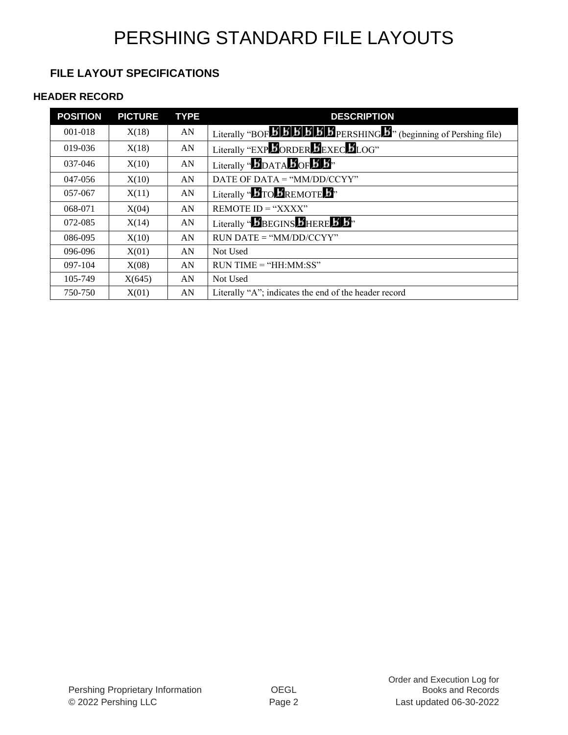### **FILE LAYOUT SPECIFICATIONS**

#### **HEADER RECORD**

| <b>POSITION</b> | <b>PICTURE</b> | <b>TYPE</b> | <b>DESCRIPTION</b>                                                                                                                                                                 |
|-----------------|----------------|-------------|------------------------------------------------------------------------------------------------------------------------------------------------------------------------------------|
| $001 - 018$     | X(18)          | AN          | Literally "BOF $\overrightarrow{B}$ $\overrightarrow{B}$ $\overrightarrow{B}$ $\overrightarrow{B}$ $\overrightarrow{B}$ PERSHING $\overrightarrow{B}$ (beginning of Pershing file) |
| 019-036         | X(18)          | AN          | Literally "EXP DORDER DEXEC DLOG"                                                                                                                                                  |
| $037 - 046$     | X(10)          | AN          | Literally " $\mathbf{B}_{\text{DATA}}$ $\mathbf{B}_{\text{OF}}$ $\mathbf{B}$ $\mathbf{B}$ "                                                                                        |
| 047-056         | X(10)          | AN          | DATE OF DATA = " $MM/DD/CCYY"$                                                                                                                                                     |
| 057-067         | X(11)          | AN          | Literally " $\mathbf{B}_{\text{TO}}\mathbf{B}_{\text{REMOTE}}\mathbf{B}$ "                                                                                                         |
| 068-071         | X(04)          | AN          | REMOTE $ID = "XXX"$                                                                                                                                                                |
| 072-085         | X(14)          | AN          | Literally " <b>B</b> BEGINS <b>B</b> HERE <b>B</b> <sup>b</sup> ,                                                                                                                  |
| 086-095         | X(10)          | AN          | $RUN\ DATE = "MM/DD/CCYY"$                                                                                                                                                         |
| 096-096         | X(01)          | AN          | Not Used                                                                                                                                                                           |
| 097-104         | X(08)          | AN          | $RUN TIME = "HH:MM:SS"$                                                                                                                                                            |
| 105-749         | X(645)         | AN          | Not Used                                                                                                                                                                           |
| 750-750         | X(01)          | AN          | Literally "A"; indicates the end of the header record                                                                                                                              |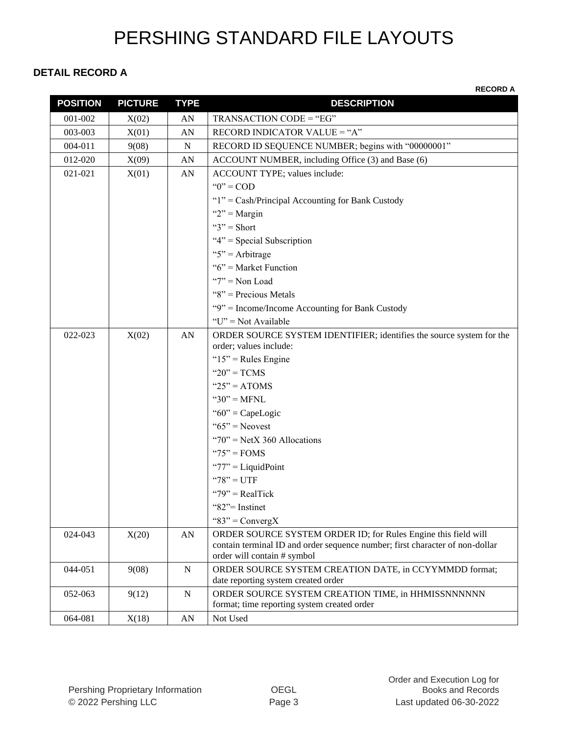#### **DETAIL RECORD A**

| <b>POSITION</b> | <b>PICTURE</b> | <b>TYPE</b> | <b>DESCRIPTION</b>                                                                                                                             |
|-----------------|----------------|-------------|------------------------------------------------------------------------------------------------------------------------------------------------|
| 001-002         | X(02)          | AN          | TRANSACTION CODE = "EG"                                                                                                                        |
| 003-003         | X(01)          | AN          | RECORD INDICATOR VALUE = "A"                                                                                                                   |
| $004 - 011$     | 9(08)          | N           | RECORD ID SEQUENCE NUMBER; begins with "00000001"                                                                                              |
| 012-020         | X(09)          | AN          | ACCOUNT NUMBER, including Office (3) and Base (6)                                                                                              |
| 021-021         | X(01)          | AN          | ACCOUNT TYPE; values include:                                                                                                                  |
|                 |                |             | " $0$ " = COD                                                                                                                                  |
|                 |                |             | " $1$ " = Cash/Principal Accounting for Bank Custody                                                                                           |
|                 |                |             | " $2"$ = Margin                                                                                                                                |
|                 |                |             | " $3"$ = Short                                                                                                                                 |
|                 |                |             | " $4$ " = Special Subscription                                                                                                                 |
|                 |                |             | " $5$ " = Arbitrage                                                                                                                            |
|                 |                |             | " $6$ " = Market Function                                                                                                                      |
|                 |                |             | " $7"$ = Non Load                                                                                                                              |
|                 |                |             | " $8$ " = Precious Metals                                                                                                                      |
|                 |                |             | "9" = Income/Income Accounting for Bank Custody                                                                                                |
|                 |                |             | " $U$ " = Not Available                                                                                                                        |
| 022-023         | X(02)          | ${\rm AN}$  | ORDER SOURCE SYSTEM IDENTIFIER; identifies the source system for the                                                                           |
|                 |                |             | order; values include:                                                                                                                         |
|                 |                |             | " $15"$ = Rules Engine                                                                                                                         |
|                 |                |             | " $20$ " = TCMS                                                                                                                                |
|                 |                |             | " $25" = ATOMS$                                                                                                                                |
|                 |                |             | " $30"$ = MFNL                                                                                                                                 |
|                 |                |             | " $60$ " = CapeLogic                                                                                                                           |
|                 |                |             | " $65$ " = Neovest                                                                                                                             |
|                 |                |             | " $70$ " = NetX 360 Allocations                                                                                                                |
|                 |                |             | " $75"$ = FOMS                                                                                                                                 |
|                 |                |             | " $77$ " = LiquidPoint                                                                                                                         |
|                 |                |             | "78" = UTF                                                                                                                                     |
|                 |                |             | " $79$ " = RealTick                                                                                                                            |
|                 |                |             | "82"= Instinct                                                                                                                                 |
|                 |                |             | "83" = $ConvergX$                                                                                                                              |
| 024-043         | X(20)          | AN          | ORDER SOURCE SYSTEM ORDER ID; for Rules Engine this field will<br>contain terminal ID and order sequence number; first character of non-dollar |
|                 |                |             | order will contain # symbol                                                                                                                    |
| 044-051         | 9(08)          | N           | ORDER SOURCE SYSTEM CREATION DATE, in CCYYMMDD format;                                                                                         |
|                 |                |             | date reporting system created order                                                                                                            |
| 052-063         | 9(12)          | ${\bf N}$   | ORDER SOURCE SYSTEM CREATION TIME, in HHMISSNNNNNN<br>format; time reporting system created order                                              |
| 064-081         | X(18)          | AN          | Not Used                                                                                                                                       |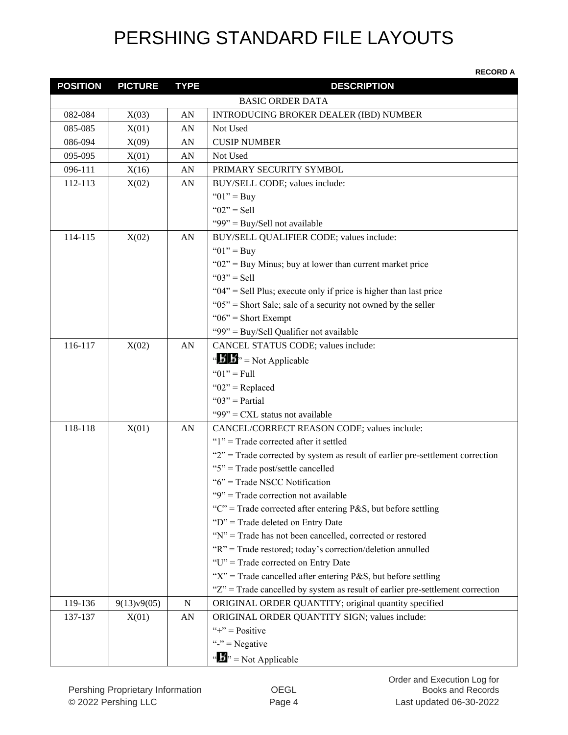| <b>POSITION</b> | <b>PICTURE</b> | <b>TYPE</b> | <b>DESCRIPTION</b>                                                                 |
|-----------------|----------------|-------------|------------------------------------------------------------------------------------|
|                 |                |             | <b>BASIC ORDER DATA</b>                                                            |
| 082-084         | X(03)          | AN          | INTRODUCING BROKER DEALER (IBD) NUMBER                                             |
| 085-085         | X(01)          | AN          | Not Used                                                                           |
| 086-094         | X(09)          | AN          | <b>CUSIP NUMBER</b>                                                                |
| 095-095         | X(01)          | AN          | Not Used                                                                           |
| 096-111         | X(16)          | AN          | PRIMARY SECURITY SYMBOL                                                            |
| 112-113         | X(02)          | AN          | BUY/SELL CODE; values include:                                                     |
|                 |                |             | " $01$ " = Buy                                                                     |
|                 |                |             | " $02$ " = Sell                                                                    |
|                 |                |             | "99" = Buy/Sell not available                                                      |
| 114-115         | X(02)          | AN          | BUY/SELL QUALIFIER CODE; values include:                                           |
|                 |                |             | " $01$ " = Buy                                                                     |
|                 |                |             | " $02$ " = Buy Minus; buy at lower than current market price                       |
|                 |                |             | " $03" =$ Sell                                                                     |
|                 |                |             | " $04$ " = Sell Plus; execute only if price is higher than last price              |
|                 |                |             | " $05$ " = Short Sale; sale of a security not owned by the seller                  |
|                 |                |             | " $06$ " = Short Exempt                                                            |
|                 |                |             | "99" = Buy/Sell Qualifier not available                                            |
| 116-117         | X(02)          | AN          | CANCEL STATUS CODE; values include:                                                |
|                 |                |             | " $\mathbf{B}'$ $\mathbf{B}$ " = Not Applicable                                    |
|                 |                |             | " $01$ " = Full                                                                    |
|                 |                |             | " $02$ " = Replaced                                                                |
|                 |                |             | " $03$ " = Partial                                                                 |
|                 |                |             | "99" = $CXL$ status not available                                                  |
| 118-118         | X(01)          | AN          | CANCEL/CORRECT REASON CODE; values include:                                        |
|                 |                |             | " $1$ " = Trade corrected after it settled                                         |
|                 |                |             | " $2$ " = Trade corrected by system as result of earlier pre-settlement correction |
|                 |                |             | "5" = Trade post/settle cancelled                                                  |
|                 |                |             | "6" = Trade NSCC Notification                                                      |
|                 |                |             | "9" = Trade correction not available                                               |
|                 |                |             | "C" = Trade corrected after entering P&S, but before settling                      |
|                 |                |             | "D" = Trade deleted on Entry Date                                                  |
|                 |                |             | "N" = Trade has not been cancelled, corrected or restored                          |
|                 |                |             | "R" = Trade restored; today's correction/deletion annulled                         |
|                 |                |             | "U" = Trade corrected on Entry Date                                                |
|                 |                |             | " $X$ " = Trade cancelled after entering P&S, but before settling                  |
|                 |                |             | "Z" = Trade cancelled by system as result of earlier pre-settlement correction     |
| 119-136         | 9(13)v9(05)    | $\mathbf N$ | ORIGINAL ORDER QUANTITY; original quantity specified                               |
| 137-137         | X(01)          | AN          | ORIGINAL ORDER QUANTITY SIGN; values include:                                      |
|                 |                |             | "+" = $Positive$                                                                   |
|                 |                |             | "-" = Negative                                                                     |
|                 |                |             | " $\mathbf{B}$ " = Not Applicable                                                  |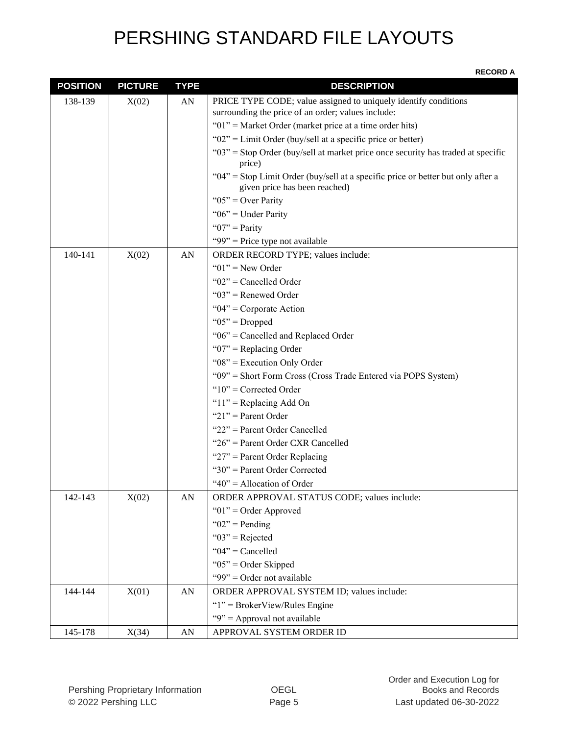| <b>POSITION</b> | <b>PICTURE</b> | <b>TYPE</b>      | <b>DESCRIPTION</b>                                                                                                |
|-----------------|----------------|------------------|-------------------------------------------------------------------------------------------------------------------|
| 138-139         | X(02)          | ${\rm AN}$       | PRICE TYPE CODE; value assigned to uniquely identify conditions                                                   |
|                 |                |                  | surrounding the price of an order; values include:                                                                |
|                 |                |                  | " $01$ " = Market Order (market price at a time order hits)                                                       |
|                 |                |                  | " $02$ " = Limit Order (buy/sell at a specific price or better)                                                   |
|                 |                |                  | " $03$ " = Stop Order (buy/sell at market price once security has traded at specific<br>price)                    |
|                 |                |                  | "04" = Stop Limit Order (buy/sell at a specific price or better but only after a<br>given price has been reached) |
|                 |                |                  | " $05$ " = Over Parity                                                                                            |
|                 |                |                  | " $06$ " = Under Parity                                                                                           |
|                 |                |                  | " $07$ " = Parity                                                                                                 |
|                 |                |                  | "99" = Price type not available                                                                                   |
| 140-141         | X(02)          | AN               | ORDER RECORD TYPE; values include:                                                                                |
|                 |                |                  | " $01$ " = New Order                                                                                              |
|                 |                |                  | " $02$ " = Cancelled Order                                                                                        |
|                 |                |                  | " $03$ " = Renewed Order                                                                                          |
|                 |                |                  | " $04$ " = Corporate Action                                                                                       |
|                 |                |                  | " $05$ " = Dropped                                                                                                |
|                 |                |                  | "06" = Cancelled and Replaced Order                                                                               |
|                 |                |                  | " $07$ " = Replacing Order                                                                                        |
|                 |                |                  | " $08$ " = Execution Only Order                                                                                   |
|                 |                |                  | "09" = Short Form Cross (Cross Trade Entered via POPS System)                                                     |
|                 |                |                  | " $10"$ = Corrected Order                                                                                         |
|                 |                |                  | " $11$ " = Replacing Add On                                                                                       |
|                 |                |                  | " $21$ " = Parent Order                                                                                           |
|                 |                |                  | "22" = Parent Order Cancelled                                                                                     |
|                 |                |                  | "26" = Parent Order CXR Cancelled                                                                                 |
|                 |                |                  | " $27$ " = Parent Order Replacing                                                                                 |
|                 |                |                  | "30" = Parent Order Corrected                                                                                     |
|                 |                |                  | " $40$ " = Allocation of Order                                                                                    |
| 142-143         | X(02)          | AN               | ORDER APPROVAL STATUS CODE; values include:                                                                       |
|                 |                |                  | " $01$ " = Order Approved                                                                                         |
|                 |                |                  | " $02$ " = Pending                                                                                                |
|                 |                |                  | " $03$ " = Rejected                                                                                               |
|                 |                |                  | " $04$ " = Cancelled                                                                                              |
|                 |                |                  | " $05$ " = Order Skipped                                                                                          |
|                 |                |                  | "99" = Order not available                                                                                        |
| 144-144         | X(01)          | ${\bf A}{\bf N}$ | ORDER APPROVAL SYSTEM ID; values include:                                                                         |
|                 |                |                  | " $1$ " = BrokerView/Rules Engine                                                                                 |
|                 |                |                  | "9" = Approval not available                                                                                      |
| 145-178         | X(34)          | ${\bf A}{\bf N}$ | APPROVAL SYSTEM ORDER ID                                                                                          |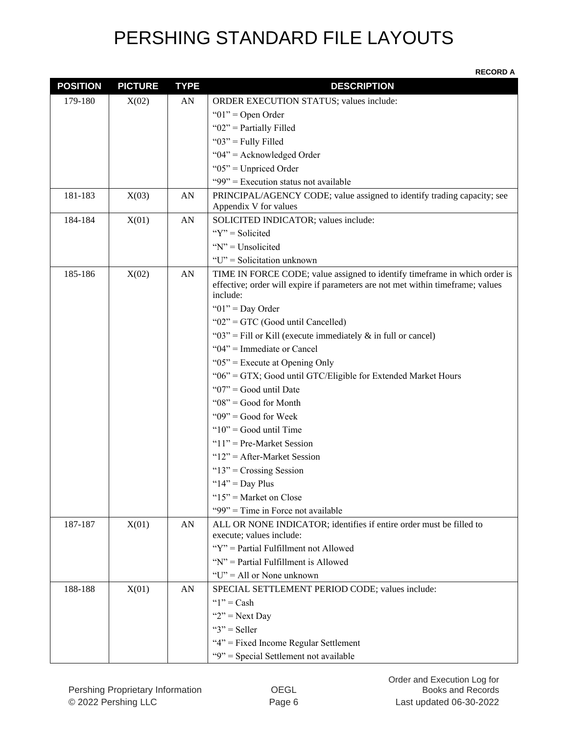| <b>POSITION</b> | <b>PICTURE</b> | <b>TYPE</b> | <b>DESCRIPTION</b>                                                                                                                                                        |
|-----------------|----------------|-------------|---------------------------------------------------------------------------------------------------------------------------------------------------------------------------|
| 179-180         | X(02)          | AN          | ORDER EXECUTION STATUS; values include:                                                                                                                                   |
|                 |                |             | " $01$ " = Open Order                                                                                                                                                     |
|                 |                |             | " $02$ " = Partially Filled                                                                                                                                               |
|                 |                |             | " $03$ " = Fully Filled                                                                                                                                                   |
|                 |                |             | " $04$ " = Acknowledged Order                                                                                                                                             |
|                 |                |             | " $05$ " = Unpriced Order                                                                                                                                                 |
|                 |                |             | "99" = Execution status not available                                                                                                                                     |
| 181-183         | X(03)          | AN          | PRINCIPAL/AGENCY CODE; value assigned to identify trading capacity; see                                                                                                   |
|                 |                |             | Appendix V for values                                                                                                                                                     |
| 184-184         | X(01)          | AN          | SOLICITED INDICATOR; values include:                                                                                                                                      |
|                 |                |             | " $Y$ " = Solicited                                                                                                                                                       |
|                 |                |             | " $N$ " = Unsolicited                                                                                                                                                     |
|                 |                |             | "U" = Solicitation unknown                                                                                                                                                |
| 185-186         | X(02)          | AN          | TIME IN FORCE CODE; value assigned to identify timeframe in which order is<br>effective; order will expire if parameters are not met within timeframe; values<br>include: |
|                 |                |             | " $01$ " = Day Order                                                                                                                                                      |
|                 |                |             | " $02$ " = GTC (Good until Cancelled)                                                                                                                                     |
|                 |                |             | " $03$ " = Fill or Kill (execute immediately & in full or cancel)                                                                                                         |
|                 |                |             | " $04$ " = Immediate or Cancel                                                                                                                                            |
|                 |                |             | " $05$ " = Execute at Opening Only                                                                                                                                        |
|                 |                |             | "06" = GTX; Good until GTC/Eligible for Extended Market Hours                                                                                                             |
|                 |                |             | " $07$ " = Good until Date                                                                                                                                                |
|                 |                |             | " $08$ " = Good for Month                                                                                                                                                 |
|                 |                |             | " $09$ " = Good for Week                                                                                                                                                  |
|                 |                |             | " $10$ " = Good until Time                                                                                                                                                |
|                 |                |             | " $11"$ = Pre-Market Session                                                                                                                                              |
|                 |                |             | " $12"$ = After-Market Session                                                                                                                                            |
|                 |                |             | " $13"$ = Crossing Session                                                                                                                                                |
|                 |                |             | " $14"$ = Day Plus                                                                                                                                                        |
|                 |                |             | " $15$ " = Market on Close                                                                                                                                                |
|                 |                |             | "99" = Time in Force not available                                                                                                                                        |
| 187-187         | X(01)          | AN          | ALL OR NONE INDICATOR; identifies if entire order must be filled to<br>execute; values include:                                                                           |
|                 |                |             | "Y" = Partial Fulfillment not Allowed                                                                                                                                     |
|                 |                |             | "N" = Partial Fulfillment is Allowed                                                                                                                                      |
|                 |                |             | " $U$ " = All or None unknown                                                                                                                                             |
| 188-188         | X(01)          | AN          | SPECIAL SETTLEMENT PERIOD CODE; values include:                                                                                                                           |
|                 |                |             | " $1$ " = Cash                                                                                                                                                            |
|                 |                |             | " $2"$ = Next Day"                                                                                                                                                        |
|                 |                |             | " $3"$ = Seller"                                                                                                                                                          |
|                 |                |             | "4" = Fixed Income Regular Settlement                                                                                                                                     |
|                 |                |             | "9" = Special Settlement not available                                                                                                                                    |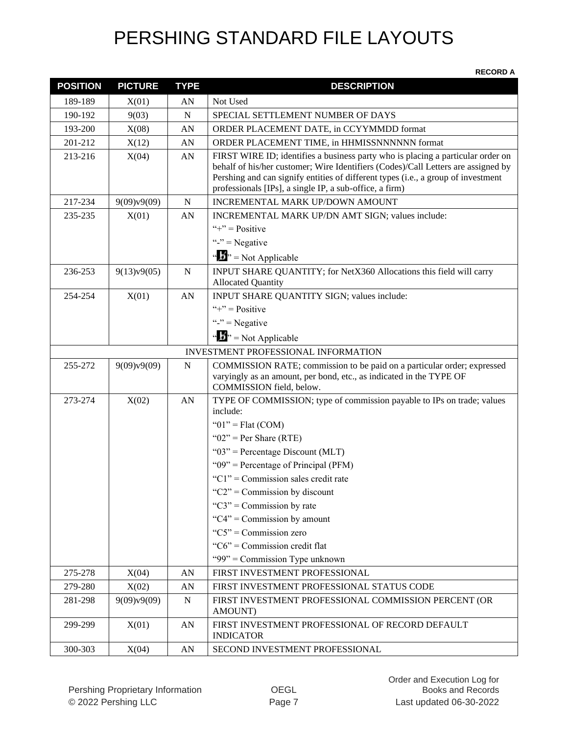| <b>POSITION</b> | <b>PICTURE</b> | <b>TYPE</b> | <b>DESCRIPTION</b>                                                                                                                                                                                                                                                                                                   |
|-----------------|----------------|-------------|----------------------------------------------------------------------------------------------------------------------------------------------------------------------------------------------------------------------------------------------------------------------------------------------------------------------|
| 189-189         | X(01)          | AN          | Not Used                                                                                                                                                                                                                                                                                                             |
| 190-192         | 9(03)          | ${\bf N}$   | SPECIAL SETTLEMENT NUMBER OF DAYS                                                                                                                                                                                                                                                                                    |
| 193-200         | X(08)          | AN          | ORDER PLACEMENT DATE, in CCYYMMDD format                                                                                                                                                                                                                                                                             |
| 201-212         | X(12)          | AN          | ORDER PLACEMENT TIME, in HHMISSNNNNNN format                                                                                                                                                                                                                                                                         |
| 213-216         | X(04)          | AN          | FIRST WIRE ID; identifies a business party who is placing a particular order on<br>behalf of his/her customer; Wire Identifiers (Codes)/Call Letters are assigned by<br>Pershing and can signify entities of different types (i.e., a group of investment<br>professionals [IPs], a single IP, a sub-office, a firm) |
| 217-234         | 9(09)v9(09)    | $\mathbf N$ | INCREMENTAL MARK UP/DOWN AMOUNT                                                                                                                                                                                                                                                                                      |
| 235-235         | X(01)          | AN          | INCREMENTAL MARK UP/DN AMT SIGN; values include:                                                                                                                                                                                                                                                                     |
|                 |                |             | "+" = $Positive$                                                                                                                                                                                                                                                                                                     |
|                 |                |             | "-" = Negative                                                                                                                                                                                                                                                                                                       |
|                 |                |             | " $\mathbf{F}$ " = Not Applicable                                                                                                                                                                                                                                                                                    |
| 236-253         | 9(13)v9(05)    | $\mathbf N$ | INPUT SHARE QUANTITY; for NetX360 Allocations this field will carry<br><b>Allocated Quantity</b>                                                                                                                                                                                                                     |
| 254-254         | X(01)          | AN          | INPUT SHARE QUANTITY SIGN; values include:                                                                                                                                                                                                                                                                           |
|                 |                |             | "+" = $Positive$                                                                                                                                                                                                                                                                                                     |
|                 |                |             | "-" = Negative                                                                                                                                                                                                                                                                                                       |
|                 |                |             | " $\mathbf{F}$ " = Not Applicable                                                                                                                                                                                                                                                                                    |
|                 |                |             | <b>INVESTMENT PROFESSIONAL INFORMATION</b>                                                                                                                                                                                                                                                                           |
| 255-272         | 9(09)v9(09)    | $\mathbf N$ | COMMISSION RATE; commission to be paid on a particular order; expressed<br>varyingly as an amount, per bond, etc., as indicated in the TYPE OF<br>COMMISSION field, below.                                                                                                                                           |
| 273-274         | X(02)          | AN          | TYPE OF COMMISSION; type of commission payable to IPs on trade; values<br>include:                                                                                                                                                                                                                                   |
|                 |                |             | " $01$ " = Flat (COM)                                                                                                                                                                                                                                                                                                |
|                 |                |             | " $02$ " = Per Share (RTE)                                                                                                                                                                                                                                                                                           |
|                 |                |             | " $03$ " = Percentage Discount (MLT)                                                                                                                                                                                                                                                                                 |
|                 |                |             | " $09$ " = Percentage of Principal (PFM)                                                                                                                                                                                                                                                                             |
|                 |                |             | "C1" = Commission sales credit rate                                                                                                                                                                                                                                                                                  |
|                 |                |             | " $C2$ " = Commission by discount                                                                                                                                                                                                                                                                                    |
|                 |                |             | " $C3$ " = Commission by rate                                                                                                                                                                                                                                                                                        |
|                 |                |             | " $C4$ " = Commission by amount<br>" $C5$ " = Commission zero                                                                                                                                                                                                                                                        |
|                 |                |             | " $C6$ " = Commission credit flat                                                                                                                                                                                                                                                                                    |
|                 |                |             | "99" = Commission Type unknown                                                                                                                                                                                                                                                                                       |
| 275-278         | X(04)          | AN          | FIRST INVESTMENT PROFESSIONAL                                                                                                                                                                                                                                                                                        |
| 279-280         | X(02)          | AN          | FIRST INVESTMENT PROFESSIONAL STATUS CODE                                                                                                                                                                                                                                                                            |
| 281-298         | 9(09)v9(09)    | ${\bf N}$   | FIRST INVESTMENT PROFESSIONAL COMMISSION PERCENT (OR                                                                                                                                                                                                                                                                 |
|                 |                |             | AMOUNT)                                                                                                                                                                                                                                                                                                              |
| 299-299         | X(01)          | AN          | FIRST INVESTMENT PROFESSIONAL OF RECORD DEFAULT<br><b>INDICATOR</b>                                                                                                                                                                                                                                                  |
| 300-303         | X(04)          | AN          | SECOND INVESTMENT PROFESSIONAL                                                                                                                                                                                                                                                                                       |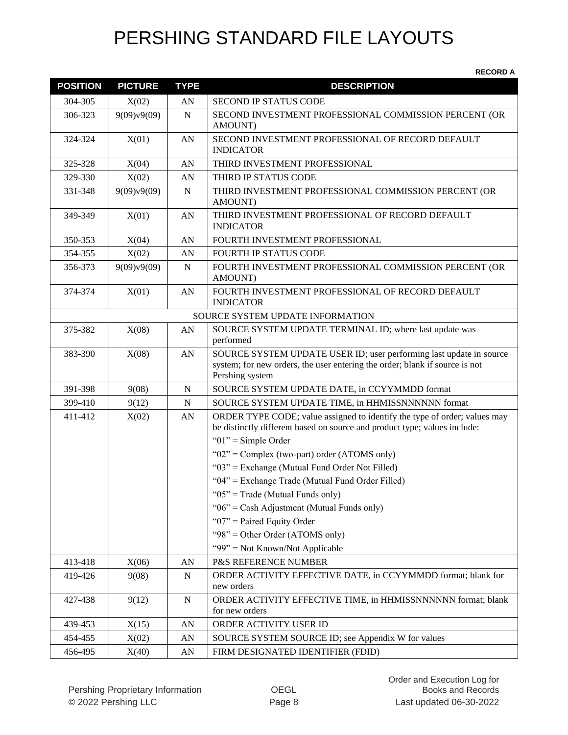| <b>POSITION</b> | <b>PICTURE</b> | <b>TYPE</b> | <b>DESCRIPTION</b>                                                                                                                                                    |
|-----------------|----------------|-------------|-----------------------------------------------------------------------------------------------------------------------------------------------------------------------|
| 304-305         | X(02)          | AN          | <b>SECOND IP STATUS CODE</b>                                                                                                                                          |
| 306-323         | 9(09)v9(09)    | $\mathbf N$ | SECOND INVESTMENT PROFESSIONAL COMMISSION PERCENT (OR<br>AMOUNT)                                                                                                      |
| 324-324         | X(01)          | AN          | SECOND INVESTMENT PROFESSIONAL OF RECORD DEFAULT<br><b>INDICATOR</b>                                                                                                  |
| 325-328         | X(04)          | AN          | THIRD INVESTMENT PROFESSIONAL                                                                                                                                         |
| 329-330         | X(02)          | AN          | THIRD IP STATUS CODE                                                                                                                                                  |
| 331-348         | 9(09)v9(09)    | N           | THIRD INVESTMENT PROFESSIONAL COMMISSION PERCENT (OR<br>AMOUNT)                                                                                                       |
| 349-349         | X(01)          | AN          | THIRD INVESTMENT PROFESSIONAL OF RECORD DEFAULT<br><b>INDICATOR</b>                                                                                                   |
| 350-353         | X(04)          | AN          | FOURTH INVESTMENT PROFESSIONAL                                                                                                                                        |
| 354-355         | X(02)          | AN          | FOURTH IP STATUS CODE                                                                                                                                                 |
| 356-373         | 9(09)y9(09)    | N           | FOURTH INVESTMENT PROFESSIONAL COMMISSION PERCENT (OR<br>AMOUNT)                                                                                                      |
| 374-374         | X(01)          | AN          | FOURTH INVESTMENT PROFESSIONAL OF RECORD DEFAULT<br><b>INDICATOR</b>                                                                                                  |
|                 |                |             | SOURCE SYSTEM UPDATE INFORMATION                                                                                                                                      |
| 375-382         | X(08)          | AN          | SOURCE SYSTEM UPDATE TERMINAL ID; where last update was<br>performed                                                                                                  |
| 383-390         | X(08)          | AN          | SOURCE SYSTEM UPDATE USER ID; user performing last update in source<br>system; for new orders, the user entering the order; blank if source is not<br>Pershing system |
| 391-398         | 9(08)          | $\mathbf N$ | SOURCE SYSTEM UPDATE DATE, in CCYYMMDD format                                                                                                                         |
| 399-410         | 9(12)          | N           | SOURCE SYSTEM UPDATE TIME, in HHMISSNNNNNN format                                                                                                                     |
| 411-412         | X(02)          | AN          | ORDER TYPE CODE; value assigned to identify the type of order; values may<br>be distinctly different based on source and product type; values include:                |
|                 |                |             | " $01$ " = Simple Order                                                                                                                                               |
|                 |                |             | " $02$ " = Complex (two-part) order (ATOMS only)                                                                                                                      |
|                 |                |             | " $03$ " = Exchange (Mutual Fund Order Not Filled)                                                                                                                    |
|                 |                |             | "04" = Exchange Trade (Mutual Fund Order Filled)                                                                                                                      |
|                 |                |             | " $05$ " = Trade (Mutual Funds only)                                                                                                                                  |
|                 |                |             | " $06$ " = Cash Adjustment (Mutual Funds only)                                                                                                                        |
|                 |                |             | " $07$ " = Paired Equity Order                                                                                                                                        |
|                 |                |             | "98" = Other Order (ATOMS only)                                                                                                                                       |
|                 |                |             | "99" = Not Known/Not Applicable                                                                                                                                       |
| 413-418         | X(06)          | AN          | P&S REFERENCE NUMBER                                                                                                                                                  |
| 419-426         | 9(08)          | ${\bf N}$   | ORDER ACTIVITY EFFECTIVE DATE, in CCYYMMDD format; blank for<br>new orders                                                                                            |
| 427-438         | 9(12)          | ${\bf N}$   | ORDER ACTIVITY EFFECTIVE TIME, in HHMISSNNNNNN format; blank<br>for new orders                                                                                        |
| 439-453         | X(15)          | AN          | ORDER ACTIVITY USER ID                                                                                                                                                |
| 454-455         | X(02)          | AN          | SOURCE SYSTEM SOURCE ID; see Appendix W for values                                                                                                                    |
| 456-495         | X(40)          | AN          | FIRM DESIGNATED IDENTIFIER (FDID)                                                                                                                                     |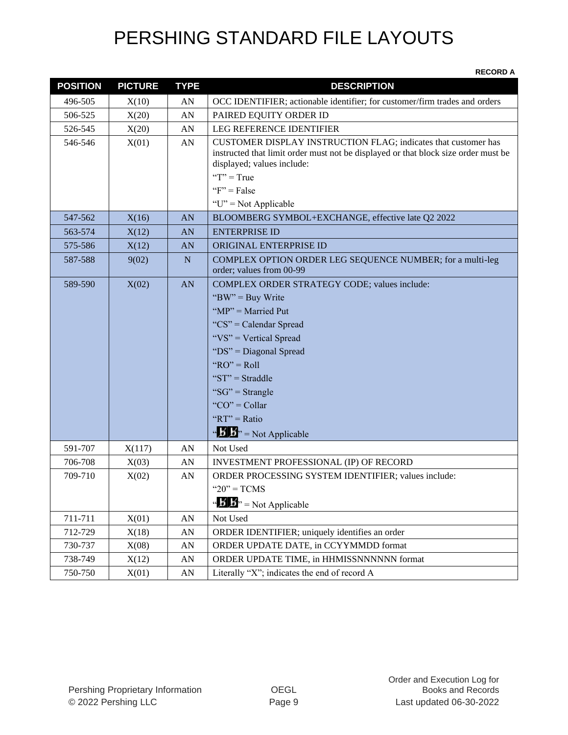| <b>POSITION</b> | <b>PICTURE</b> | <b>TYPE</b>      | <b>DESCRIPTION</b>                                                                                                                                                                                                                                                                                                                     |
|-----------------|----------------|------------------|----------------------------------------------------------------------------------------------------------------------------------------------------------------------------------------------------------------------------------------------------------------------------------------------------------------------------------------|
| 496-505         | X(10)          | AN               | OCC IDENTIFIER; actionable identifier; for customer/firm trades and orders                                                                                                                                                                                                                                                             |
| 506-525         | X(20)          | AN               | PAIRED EQUITY ORDER ID                                                                                                                                                                                                                                                                                                                 |
| 526-545         | X(20)          | AN               | <b>LEG REFERENCE IDENTIFIER</b>                                                                                                                                                                                                                                                                                                        |
| 546-546         | X(01)          | AN               | CUSTOMER DISPLAY INSTRUCTION FLAG; indicates that customer has<br>instructed that limit order must not be displayed or that block size order must be<br>displayed; values include:<br>" $T$ " = True<br>" $F$ " = False                                                                                                                |
|                 |                |                  | " $U$ " = Not Applicable                                                                                                                                                                                                                                                                                                               |
| 547-562         | X(16)          | AN               | BLOOMBERG SYMBOL+EXCHANGE, effective late Q2 2022                                                                                                                                                                                                                                                                                      |
| 563-574         | X(12)          | AN               | <b>ENTERPRISE ID</b>                                                                                                                                                                                                                                                                                                                   |
| 575-586         | X(12)          | AN               | ORIGINAL ENTERPRISE ID                                                                                                                                                                                                                                                                                                                 |
| 587-588         | 9(02)          | ${\bf N}$        | COMPLEX OPTION ORDER LEG SEQUENCE NUMBER; for a multi-leg<br>order; values from 00-99                                                                                                                                                                                                                                                  |
| 589-590         | X(02)          | AN               | COMPLEX ORDER STRATEGY CODE; values include:<br>"BW" = Buy Write<br>" $MP$ " = Married Put<br>" $CS$ " = Calendar Spread<br>"VS" = Vertical Spread<br>"DS" = Diagonal Spread<br>" $RO" = Roll$<br>" $ST" = \text{Straddle}$<br>" $SG$ " = Strangle<br>"CO" = Collar<br>" $RT" = Ratio$<br>$\cdot \cdot$ $\cdot$ $\cdot$ Not Applicable |
| 591-707         | X(117)         | AN               | Not Used                                                                                                                                                                                                                                                                                                                               |
| 706-708         | X(03)          | AN               | INVESTMENT PROFESSIONAL (IP) OF RECORD                                                                                                                                                                                                                                                                                                 |
| 709-710         | X(02)          | AN               | ORDER PROCESSING SYSTEM IDENTIFIER; values include:<br>" $20$ " = TCMS<br>" $\mathbf{B}$ " = Not Applicable                                                                                                                                                                                                                            |
| 711-711         | X(01)          | ${\rm AN}$       | Not Used                                                                                                                                                                                                                                                                                                                               |
| 712-729         | X(18)          | AN               | ORDER IDENTIFIER; uniquely identifies an order                                                                                                                                                                                                                                                                                         |
| 730-737         | X(08)          | AN               | ORDER UPDATE DATE, in CCYYMMDD format                                                                                                                                                                                                                                                                                                  |
| 738-749         | X(12)          | AN               | ORDER UPDATE TIME, in HHMISSNNNNNN format                                                                                                                                                                                                                                                                                              |
| 750-750         | X(01)          | ${\bf A}{\bf N}$ | Literally "X"; indicates the end of record A                                                                                                                                                                                                                                                                                           |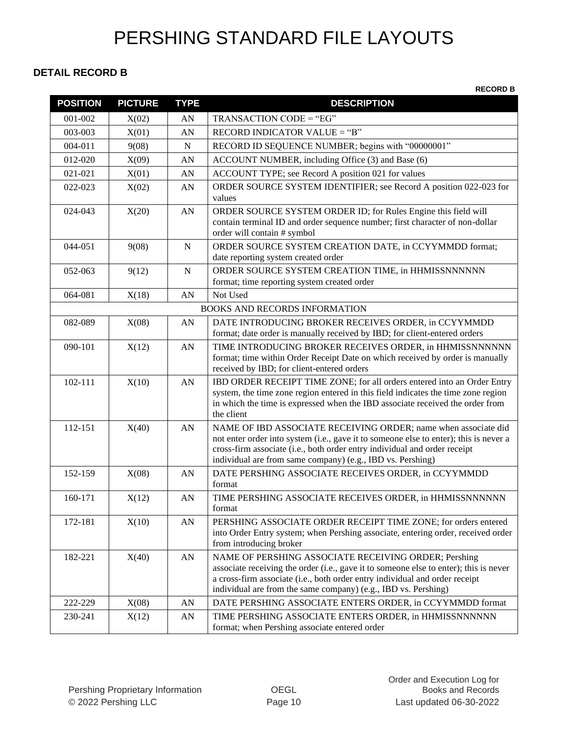#### **DETAIL RECORD B**

| <b>POSITION</b> | <b>PICTURE</b> | <b>TYPE</b> | <b>DESCRIPTION</b>                                                                                                                                                                                                                                                                                 |
|-----------------|----------------|-------------|----------------------------------------------------------------------------------------------------------------------------------------------------------------------------------------------------------------------------------------------------------------------------------------------------|
| 001-002         | X(02)          | AN          | TRANSACTION CODE = "EG"                                                                                                                                                                                                                                                                            |
| 003-003         | X(01)          | AN          | RECORD INDICATOR VALUE = "B"                                                                                                                                                                                                                                                                       |
| 004-011         | 9(08)          | N           | RECORD ID SEQUENCE NUMBER; begins with "00000001"                                                                                                                                                                                                                                                  |
| 012-020         | X(09)          | AN          | ACCOUNT NUMBER, including Office (3) and Base (6)                                                                                                                                                                                                                                                  |
| 021-021         | X(01)          | AN          | ACCOUNT TYPE; see Record A position 021 for values                                                                                                                                                                                                                                                 |
| 022-023         | X(02)          | AN          | ORDER SOURCE SYSTEM IDENTIFIER; see Record A position 022-023 for<br>values                                                                                                                                                                                                                        |
| 024-043         | X(20)          | AN          | ORDER SOURCE SYSTEM ORDER ID; for Rules Engine this field will<br>contain terminal ID and order sequence number; first character of non-dollar<br>order will contain # symbol                                                                                                                      |
| 044-051         | 9(08)          | N           | ORDER SOURCE SYSTEM CREATION DATE, in CCYYMMDD format;<br>date reporting system created order                                                                                                                                                                                                      |
| 052-063         | 9(12)          | ${\bf N}$   | ORDER SOURCE SYSTEM CREATION TIME, in HHMISSNNNNNN<br>format; time reporting system created order                                                                                                                                                                                                  |
| 064-081         | X(18)          | AN          | Not Used                                                                                                                                                                                                                                                                                           |
|                 |                |             | <b>BOOKS AND RECORDS INFORMATION</b>                                                                                                                                                                                                                                                               |
| 082-089         | X(08)          | ${\rm AN}$  | DATE INTRODUCING BROKER RECEIVES ORDER, in CCYYMMDD<br>format; date order is manually received by IBD; for client-entered orders                                                                                                                                                                   |
| 090-101         | X(12)          | AN          | TIME INTRODUCING BROKER RECEIVES ORDER, in HHMISSNNNNNN<br>format; time within Order Receipt Date on which received by order is manually<br>received by IBD; for client-entered orders                                                                                                             |
| 102-111         | X(10)          | AN          | IBD ORDER RECEIPT TIME ZONE; for all orders entered into an Order Entry<br>system, the time zone region entered in this field indicates the time zone region<br>in which the time is expressed when the IBD associate received the order from<br>the client                                        |
| 112-151         | X(40)          | AN          | NAME OF IBD ASSOCIATE RECEIVING ORDER; name when associate did<br>not enter order into system (i.e., gave it to someone else to enter); this is never a<br>cross-firm associate (i.e., both order entry individual and order receipt<br>individual are from same company) (e.g., IBD vs. Pershing) |
| 152-159         | X(08)          | AN          | DATE PERSHING ASSOCIATE RECEIVES ORDER, in CCYYMMDD<br>format                                                                                                                                                                                                                                      |
| 160-171         | X(12)          | ${\rm AN}$  | TIME PERSHING ASSOCIATE RECEIVES ORDER, in HHMISSNNNNNN<br>format                                                                                                                                                                                                                                  |
| 172-181         | X(10)          | AN          | PERSHING ASSOCIATE ORDER RECEIPT TIME ZONE; for orders entered<br>into Order Entry system; when Pershing associate, entering order, received order<br>from introducing broker                                                                                                                      |
| 182-221         | X(40)          | ${\rm AN}$  | NAME OF PERSHING ASSOCIATE RECEIVING ORDER; Pershing<br>associate receiving the order (i.e., gave it to someone else to enter); this is never<br>a cross-firm associate (i.e., both order entry individual and order receipt<br>individual are from the same company) (e.g., IBD vs. Pershing)     |
| 222-229         | X(08)          | AN          | DATE PERSHING ASSOCIATE ENTERS ORDER, in CCYYMMDD format                                                                                                                                                                                                                                           |
| 230-241         | X(12)          | AN          | TIME PERSHING ASSOCIATE ENTERS ORDER, in HHMISSNNNNNN<br>format; when Pershing associate entered order                                                                                                                                                                                             |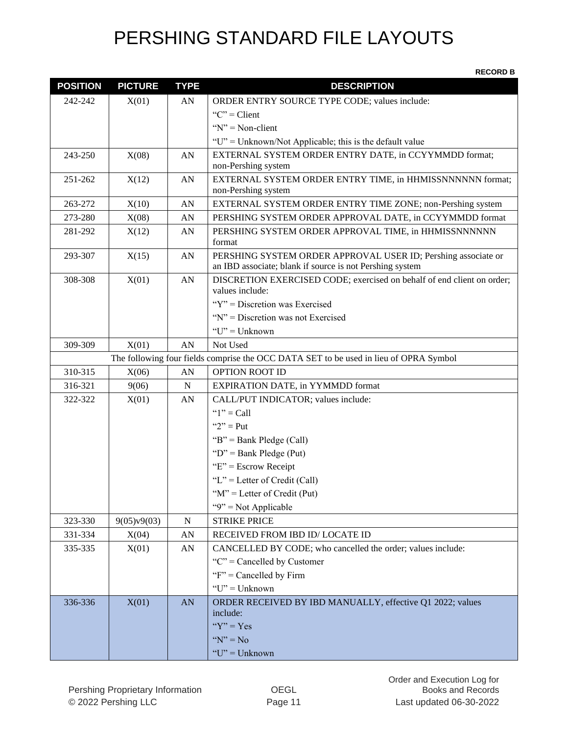| <b>POSITION</b> | <b>PICTURE</b> | <b>TYPE</b> | <b>DESCRIPTION</b>                                                                    |
|-----------------|----------------|-------------|---------------------------------------------------------------------------------------|
| 242-242         | X(01)          | AN          | ORDER ENTRY SOURCE TYPE CODE; values include:                                         |
|                 |                |             | "C" = Client                                                                          |
|                 |                |             | " $N$ " = Non-client                                                                  |
|                 |                |             | "U" = Unknown/Not Applicable; this is the default value                               |
| 243-250         | X(08)          | AN          | EXTERNAL SYSTEM ORDER ENTRY DATE, in CCYYMMDD format;                                 |
|                 |                |             | non-Pershing system                                                                   |
| 251-262         | X(12)          | AN          | EXTERNAL SYSTEM ORDER ENTRY TIME, in HHMISSNNNNNN format;<br>non-Pershing system      |
| 263-272         | X(10)          | AN          | EXTERNAL SYSTEM ORDER ENTRY TIME ZONE; non-Pershing system                            |
| 273-280         | X(08)          | AN          | PERSHING SYSTEM ORDER APPROVAL DATE, in CCYYMMDD format                               |
| 281-292         | X(12)          | AN          | PERSHING SYSTEM ORDER APPROVAL TIME, in HHMISSNNNNNN<br>format                        |
| 293-307         | X(15)          | AN          | PERSHING SYSTEM ORDER APPROVAL USER ID; Pershing associate or                         |
|                 |                |             | an IBD associate; blank if source is not Pershing system                              |
| 308-308         | X(01)          | AN          | DISCRETION EXERCISED CODE; exercised on behalf of end client on order;                |
|                 |                |             | values include:                                                                       |
|                 |                |             | "Y" = Discretion was Exercised                                                        |
|                 |                |             | "N" = Discretion was not Exercised                                                    |
|                 |                |             | " $U$ " = Unknown                                                                     |
| 309-309         | X(01)          | AN          | Not Used                                                                              |
|                 |                |             | The following four fields comprise the OCC DATA SET to be used in lieu of OPRA Symbol |
| 310-315         | X(06)          | AN          | <b>OPTION ROOT ID</b>                                                                 |
| 316-321         | 9(06)          | $\mathbf N$ | <b>EXPIRATION DATE, in YYMMDD format</b>                                              |
| 322-322         | X(01)          | AN          | CALL/PUT INDICATOR; values include:                                                   |
|                 |                |             | " $1"$ = Call                                                                         |
|                 |                |             | " $2"$ = Put                                                                          |
|                 |                |             | "B" = Bank Pledge (Call)                                                              |
|                 |                |             | " $D$ " = Bank Pledge (Put)                                                           |
|                 |                |             | " $E$ " = Escrow Receipt                                                              |
|                 |                |             | "L" = Letter of Credit (Call)                                                         |
|                 |                |             | " $M$ " = Letter of Credit (Put)                                                      |
|                 |                |             | " $9$ " = Not Applicable                                                              |
| 323-330         | 9(05)v9(03)    | ${\bf N}$   | <b>STRIKE PRICE</b>                                                                   |
| 331-334         | X(04)          | AN          | RECEIVED FROM IBD ID/LOCATE ID                                                        |
| 335-335         | X(01)          | AN          | CANCELLED BY CODE; who cancelled the order; values include:                           |
|                 |                |             | " $C$ " = Cancelled by Customer                                                       |
|                 |                |             | " $F$ " = Cancelled by Firm                                                           |
|                 |                |             | " $U$ " = Unknown                                                                     |
| 336-336         | X(01)          | <b>AN</b>   | ORDER RECEIVED BY IBD MANUALLY, effective Q1 2022; values                             |
|                 |                |             | include:<br>" $Y$ " = Yes                                                             |
|                 |                |             | " $N$ " = No                                                                          |
|                 |                |             |                                                                                       |
|                 |                |             | $"U"$ = Unknown                                                                       |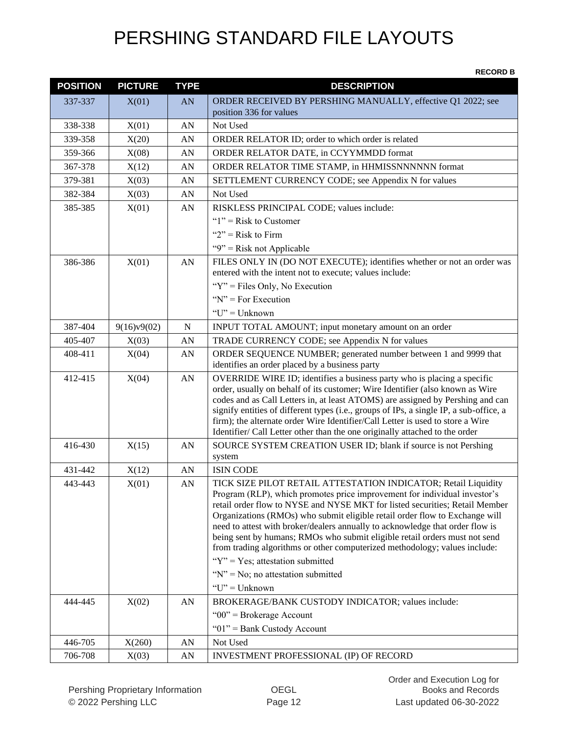| <b>POSITION</b>    | <b>PICTURE</b> | <b>TYPE</b> | <b>DESCRIPTION</b>                                                                                                                                                                                                                                                                                                                                                                                                                                                                                                                                                                                                                                                                                                                                  |
|--------------------|----------------|-------------|-----------------------------------------------------------------------------------------------------------------------------------------------------------------------------------------------------------------------------------------------------------------------------------------------------------------------------------------------------------------------------------------------------------------------------------------------------------------------------------------------------------------------------------------------------------------------------------------------------------------------------------------------------------------------------------------------------------------------------------------------------|
| 337-337            | X(01)          | AN          | ORDER RECEIVED BY PERSHING MANUALLY, effective Q1 2022; see<br>position 336 for values                                                                                                                                                                                                                                                                                                                                                                                                                                                                                                                                                                                                                                                              |
| 338-338            | X(01)          | AN          | Not Used                                                                                                                                                                                                                                                                                                                                                                                                                                                                                                                                                                                                                                                                                                                                            |
| 339-358            | X(20)          | AN          | ORDER RELATOR ID; order to which order is related                                                                                                                                                                                                                                                                                                                                                                                                                                                                                                                                                                                                                                                                                                   |
| 359-366            | X(08)          | AN          | ORDER RELATOR DATE, in CCYYMMDD format                                                                                                                                                                                                                                                                                                                                                                                                                                                                                                                                                                                                                                                                                                              |
| 367-378            | X(12)          | AN          | ORDER RELATOR TIME STAMP, in HHMISSNNNNNN format                                                                                                                                                                                                                                                                                                                                                                                                                                                                                                                                                                                                                                                                                                    |
| 379-381            | X(03)          | AN          | SETTLEMENT CURRENCY CODE; see Appendix N for values                                                                                                                                                                                                                                                                                                                                                                                                                                                                                                                                                                                                                                                                                                 |
| 382-384            | X(03)          | AN          | Not Used                                                                                                                                                                                                                                                                                                                                                                                                                                                                                                                                                                                                                                                                                                                                            |
| 385-385            | X(01)          | AN          | RISKLESS PRINCIPAL CODE; values include:                                                                                                                                                                                                                                                                                                                                                                                                                                                                                                                                                                                                                                                                                                            |
|                    |                |             | " $1$ " = Risk to Customer                                                                                                                                                                                                                                                                                                                                                                                                                                                                                                                                                                                                                                                                                                                          |
|                    |                |             | " $2$ " = Risk to Firm                                                                                                                                                                                                                                                                                                                                                                                                                                                                                                                                                                                                                                                                                                                              |
|                    |                |             | "9" = Risk not Applicable                                                                                                                                                                                                                                                                                                                                                                                                                                                                                                                                                                                                                                                                                                                           |
| 386-386            | X(01)          | AN          | FILES ONLY IN (DO NOT EXECUTE); identifies whether or not an order was                                                                                                                                                                                                                                                                                                                                                                                                                                                                                                                                                                                                                                                                              |
|                    |                |             | entered with the intent not to execute; values include:                                                                                                                                                                                                                                                                                                                                                                                                                                                                                                                                                                                                                                                                                             |
|                    |                |             | " $Y$ " = Files Only, No Execution                                                                                                                                                                                                                                                                                                                                                                                                                                                                                                                                                                                                                                                                                                                  |
|                    |                |             | " $N$ " = For Execution                                                                                                                                                                                                                                                                                                                                                                                                                                                                                                                                                                                                                                                                                                                             |
|                    |                |             | "U" = Unknown                                                                                                                                                                                                                                                                                                                                                                                                                                                                                                                                                                                                                                                                                                                                       |
| 387-404            | 9(16)y9(02)    | $\mathbf N$ | INPUT TOTAL AMOUNT; input monetary amount on an order                                                                                                                                                                                                                                                                                                                                                                                                                                                                                                                                                                                                                                                                                               |
| 405-407            | X(03)          | AN          | TRADE CURRENCY CODE; see Appendix N for values                                                                                                                                                                                                                                                                                                                                                                                                                                                                                                                                                                                                                                                                                                      |
| 408-411            | X(04)          | AN          | ORDER SEQUENCE NUMBER; generated number between 1 and 9999 that<br>identifies an order placed by a business party                                                                                                                                                                                                                                                                                                                                                                                                                                                                                                                                                                                                                                   |
| 412-415            | X(04)          | AN          | OVERRIDE WIRE ID; identifies a business party who is placing a specific<br>order, usually on behalf of its customer; Wire Identifier (also known as Wire<br>codes and as Call Letters in, at least ATOMS) are assigned by Pershing and can<br>signify entities of different types (i.e., groups of IPs, a single IP, a sub-office, a<br>firm); the alternate order Wire Identifier/Call Letter is used to store a Wire<br>Identifier/ Call Letter other than the one originally attached to the order                                                                                                                                                                                                                                               |
| 416-430            | X(15)          | AN          | SOURCE SYSTEM CREATION USER ID; blank if source is not Pershing<br>system                                                                                                                                                                                                                                                                                                                                                                                                                                                                                                                                                                                                                                                                           |
| 431-442            | X(12)          | AN          | <b>ISIN CODE</b>                                                                                                                                                                                                                                                                                                                                                                                                                                                                                                                                                                                                                                                                                                                                    |
| 443-443<br>444-445 | X(01)<br>X(02) | AN<br>AN    | TICK SIZE PILOT RETAIL ATTESTATION INDICATOR; Retail Liquidity<br>Program (RLP), which promotes price improvement for individual investor's<br>retail order flow to NYSE and NYSE MKT for listed securities; Retail Member<br>Organizations (RMOs) who submit eligible retail order flow to Exchange will<br>need to attest with broker/dealers annually to acknowledge that order flow is<br>being sent by humans; RMOs who submit eligible retail orders must not send<br>from trading algorithms or other computerized methodology; values include:<br>" $Y$ " = Yes; attestation submitted<br>" $N$ " = No; no attestation submitted<br>" $U$ " = Unknown"<br>BROKERAGE/BANK CUSTODY INDICATOR; values include:<br>" $00$ " = Brokerage Account |
|                    |                |             | " $01$ " = Bank Custody Account                                                                                                                                                                                                                                                                                                                                                                                                                                                                                                                                                                                                                                                                                                                     |
| 446-705            | X(260)         | AN          | Not Used                                                                                                                                                                                                                                                                                                                                                                                                                                                                                                                                                                                                                                                                                                                                            |
| 706-708            | X(03)          | AN          | INVESTMENT PROFESSIONAL (IP) OF RECORD                                                                                                                                                                                                                                                                                                                                                                                                                                                                                                                                                                                                                                                                                                              |
|                    |                |             |                                                                                                                                                                                                                                                                                                                                                                                                                                                                                                                                                                                                                                                                                                                                                     |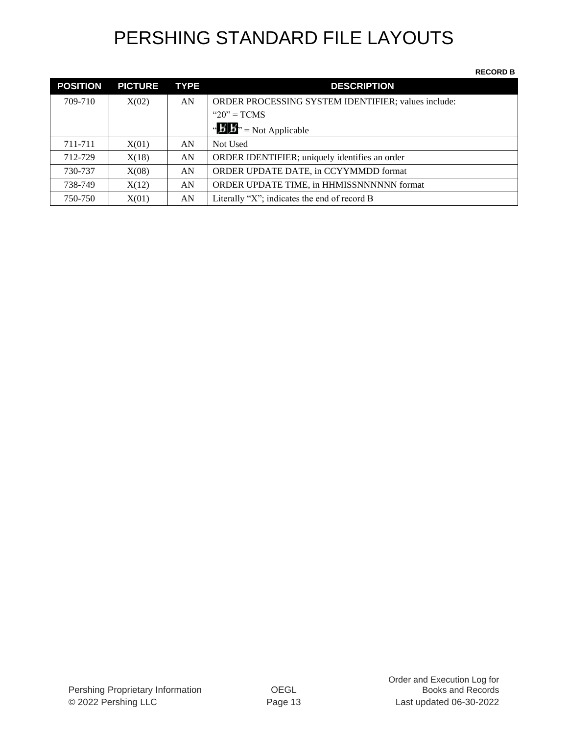| <b>POSITION</b> | <b>PICTURE</b> | <b>TYPE</b> | <b>DESCRIPTION</b>                                         |
|-----------------|----------------|-------------|------------------------------------------------------------|
| 709-710         | X(02)          | AN          | <b>ORDER PROCESSING SYSTEM IDENTIFIER; values include:</b> |
|                 |                |             | " $20$ " = TCMS                                            |
|                 |                |             | " $\mathbf{B}$ " = Not Applicable                          |
| 711-711         | X(01)          | AN          | Not Used                                                   |
| 712-729         | X(18)          | AN          | ORDER IDENTIFIER; uniquely identifies an order             |
| 730-737         | X(08)          | AN          | ORDER UPDATE DATE, in CCYYMMDD format                      |
| 738-749         | X(12)          | AN          | ORDER UPDATE TIME, in HHMISSNNNNNN format                  |
| 750-750         | X(01)          | AN          | Literally "X"; indicates the end of record B               |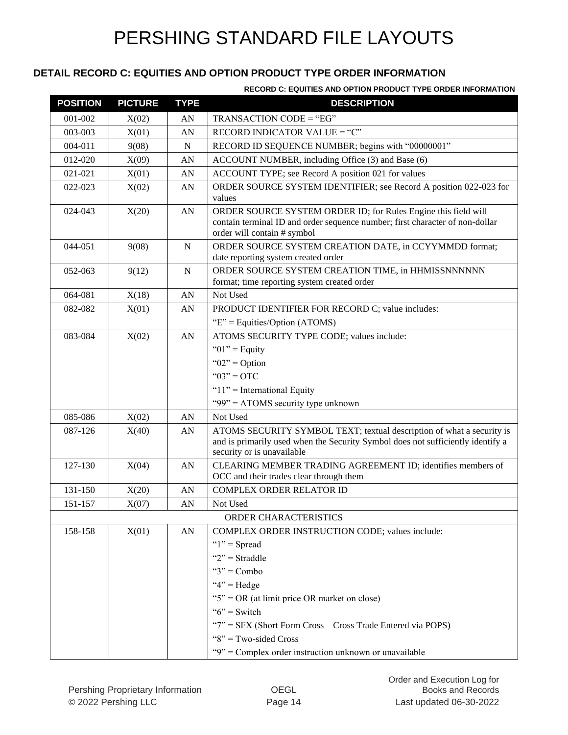#### **DETAIL RECORD C: EQUITIES AND OPTION PRODUCT TYPE ORDER INFORMATION**

| <b>POSITION</b> | <b>PICTURE</b> | <b>TYPE</b> | <b>DESCRIPTION</b>                                                                                                                                                                     |
|-----------------|----------------|-------------|----------------------------------------------------------------------------------------------------------------------------------------------------------------------------------------|
| 001-002         | X(02)          | AN          | TRANSACTION CODE = "EG"                                                                                                                                                                |
| 003-003         | X(01)          | AN          | RECORD INDICATOR VALUE = "C"                                                                                                                                                           |
| 004-011         | 9(08)          | $\mathbf N$ | RECORD ID SEQUENCE NUMBER; begins with "00000001"                                                                                                                                      |
| 012-020         | X(09)          | AN          | ACCOUNT NUMBER, including Office (3) and Base (6)                                                                                                                                      |
| 021-021         | X(01)          | AN          | ACCOUNT TYPE; see Record A position 021 for values                                                                                                                                     |
| 022-023         | X(02)          | AN          | ORDER SOURCE SYSTEM IDENTIFIER; see Record A position 022-023 for<br>values                                                                                                            |
| 024-043         | X(20)          | AN          | ORDER SOURCE SYSTEM ORDER ID; for Rules Engine this field will<br>contain terminal ID and order sequence number; first character of non-dollar<br>order will contain # symbol          |
| 044-051         | 9(08)          | ${\bf N}$   | ORDER SOURCE SYSTEM CREATION DATE, in CCYYMMDD format;<br>date reporting system created order                                                                                          |
| 052-063         | 9(12)          | ${\bf N}$   | ORDER SOURCE SYSTEM CREATION TIME, in HHMISSNNNNNN<br>format; time reporting system created order                                                                                      |
| 064-081         | X(18)          | AN          | Not Used                                                                                                                                                                               |
| 082-082         | X(01)          | AN          | PRODUCT IDENTIFIER FOR RECORD C; value includes:                                                                                                                                       |
|                 |                |             | " $E$ " = Equities/Option (ATOMS)                                                                                                                                                      |
| 083-084         | X(02)          | AN          | ATOMS SECURITY TYPE CODE; values include:                                                                                                                                              |
|                 |                |             | " $01$ " = Equity                                                                                                                                                                      |
|                 |                |             | " $02$ " = Option                                                                                                                                                                      |
|                 |                |             | " $03" = OTC$                                                                                                                                                                          |
|                 |                |             | " $11"$ = International Equity                                                                                                                                                         |
|                 |                |             | "99" = $ATOMS$ security type unknown                                                                                                                                                   |
| 085-086         | X(02)          | AN          | Not Used                                                                                                                                                                               |
| 087-126         | X(40)          | AN          | ATOMS SECURITY SYMBOL TEXT; textual description of what a security is<br>and is primarily used when the Security Symbol does not sufficiently identify a<br>security or is unavailable |
| 127-130         | X(04)          | AN          | CLEARING MEMBER TRADING AGREEMENT ID; identifies members of<br>OCC and their trades clear through them                                                                                 |
| 131-150         |                | AN          | <b>COMPLEX ORDER RELATOR ID</b>                                                                                                                                                        |
| 151-157         | X(20)          | AN          | Not Used                                                                                                                                                                               |
|                 | X(07)          |             | ORDER CHARACTERISTICS                                                                                                                                                                  |
| 158-158         | X(01)          | AN          | COMPLEX ORDER INSTRUCTION CODE; values include:                                                                                                                                        |
|                 |                |             | " $1$ " = Spread                                                                                                                                                                       |
|                 |                |             | " $2"$ = Straddle                                                                                                                                                                      |
|                 |                |             | " $3"$ = Combo                                                                                                                                                                         |
|                 |                |             | " $4$ " = Hedge                                                                                                                                                                        |
|                 |                |             | " $5$ " = OR (at limit price OR market on close)                                                                                                                                       |
|                 |                |             | " $6$ " = Switch                                                                                                                                                                       |
|                 |                |             | " $7"$ = SFX (Short Form Cross – Cross Trade Entered via POPS)                                                                                                                         |
|                 |                |             | " $8$ " = Two-sided Cross                                                                                                                                                              |
|                 |                |             | "9" = Complex order instruction unknown or unavailable                                                                                                                                 |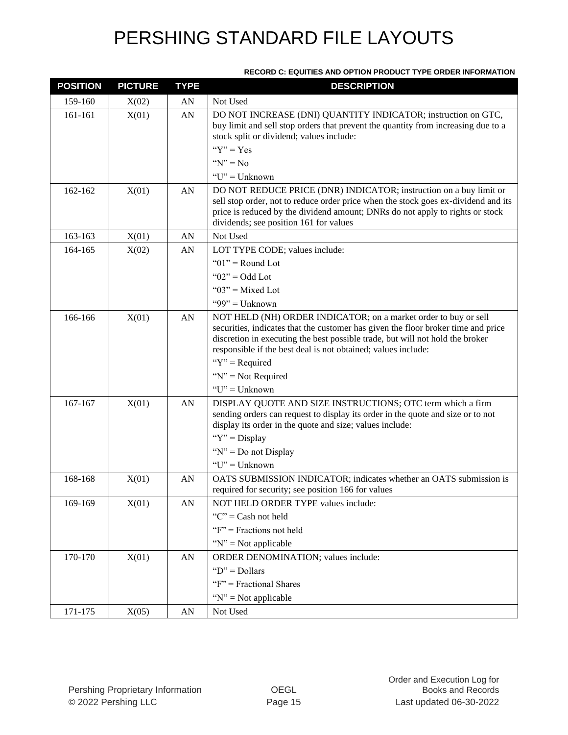| <b>POSITION</b> | <b>PICTURE</b> | <b>TYPE</b> | <b>DESCRIPTION</b>                                                                                                                                                                                                                                                                                     |
|-----------------|----------------|-------------|--------------------------------------------------------------------------------------------------------------------------------------------------------------------------------------------------------------------------------------------------------------------------------------------------------|
| 159-160         | X(02)          | AN          | Not Used                                                                                                                                                                                                                                                                                               |
| 161-161         | X(01)          | AN          | DO NOT INCREASE (DNI) QUANTITY INDICATOR; instruction on GTC,<br>buy limit and sell stop orders that prevent the quantity from increasing due to a<br>stock split or dividend; values include:                                                                                                         |
|                 |                |             | " $Y$ " = Yes                                                                                                                                                                                                                                                                                          |
|                 |                |             | " $N$ " = No                                                                                                                                                                                                                                                                                           |
|                 |                |             | " $U$ " = Unknown                                                                                                                                                                                                                                                                                      |
| 162-162         | X(01)          | AN          | DO NOT REDUCE PRICE (DNR) INDICATOR; instruction on a buy limit or<br>sell stop order, not to reduce order price when the stock goes ex-dividend and its<br>price is reduced by the dividend amount; DNRs do not apply to rights or stock<br>dividends; see position 161 for values                    |
| 163-163         | X(01)          | AN          | Not Used                                                                                                                                                                                                                                                                                               |
| 164-165         | X(02)          | AN          | LOT TYPE CODE; values include:                                                                                                                                                                                                                                                                         |
|                 |                |             | " $01$ " = Round Lot                                                                                                                                                                                                                                                                                   |
|                 |                |             | " $02$ " = Odd Lot                                                                                                                                                                                                                                                                                     |
|                 |                |             | " $03$ " = Mixed Lot                                                                                                                                                                                                                                                                                   |
|                 |                |             | "99" = $Unknown$                                                                                                                                                                                                                                                                                       |
| 166-166         | X(01)          | AN          | NOT HELD (NH) ORDER INDICATOR; on a market order to buy or sell<br>securities, indicates that the customer has given the floor broker time and price<br>discretion in executing the best possible trade, but will not hold the broker<br>responsible if the best deal is not obtained; values include: |
|                 |                |             | " $Y$ " = Required                                                                                                                                                                                                                                                                                     |
|                 |                |             | " $N$ " = Not Required                                                                                                                                                                                                                                                                                 |
|                 |                |             | " $U$ " = Unknown                                                                                                                                                                                                                                                                                      |
| 167-167         | X(01)          | AN          | DISPLAY QUOTE AND SIZE INSTRUCTIONS; OTC term which a firm<br>sending orders can request to display its order in the quote and size or to not<br>display its order in the quote and size; values include:                                                                                              |
|                 |                |             | " $Y$ " = Display                                                                                                                                                                                                                                                                                      |
|                 |                |             | " $N$ " = Do not Display                                                                                                                                                                                                                                                                               |
|                 |                |             | "U" = Unknown                                                                                                                                                                                                                                                                                          |
| 168-168         | X(01)          | AN          | OATS SUBMISSION INDICATOR; indicates whether an OATS submission is                                                                                                                                                                                                                                     |
|                 |                |             | required for security; see position 166 for values                                                                                                                                                                                                                                                     |
| 169-169         | X(01)          | AN          | NOT HELD ORDER TYPE values include:                                                                                                                                                                                                                                                                    |
|                 |                |             | " $C$ " = Cash not held                                                                                                                                                                                                                                                                                |
|                 |                |             | " $F$ " = Fractions not held                                                                                                                                                                                                                                                                           |
|                 |                |             | " $N$ " = Not applicable                                                                                                                                                                                                                                                                               |
| 170-170         | X(01)          | AN          | ORDER DENOMINATION; values include:                                                                                                                                                                                                                                                                    |
|                 |                |             | " $D$ " = Dollars                                                                                                                                                                                                                                                                                      |
|                 |                |             | " $F$ " = Fractional Shares                                                                                                                                                                                                                                                                            |
|                 |                |             | " $N$ " = Not applicable                                                                                                                                                                                                                                                                               |
| 171-175         | X(05)          | AN          | Not Used                                                                                                                                                                                                                                                                                               |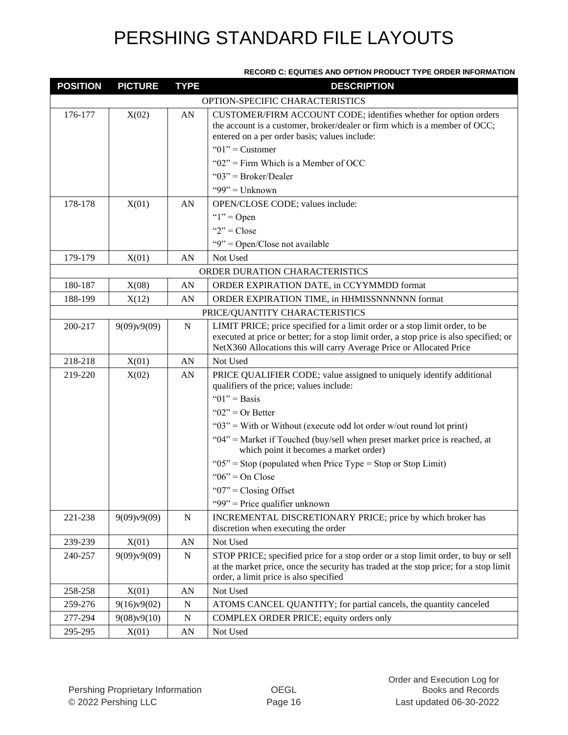| <b>POSITION</b> | <b>PICTURE</b> | <b>TYPE</b> | <b>DESCRIPTION</b>                                                                                                                                                                                                                             |
|-----------------|----------------|-------------|------------------------------------------------------------------------------------------------------------------------------------------------------------------------------------------------------------------------------------------------|
|                 |                |             | OPTION-SPECIFIC CHARACTERISTICS                                                                                                                                                                                                                |
| 176-177         | X(02)          | AN          | CUSTOMER/FIRM ACCOUNT CODE; identifies whether for option orders<br>the account is a customer, broker/dealer or firm which is a member of OCC;<br>entered on a per order basis; values include:                                                |
|                 |                |             | " $01$ " = Customer                                                                                                                                                                                                                            |
|                 |                |             | " $02$ " = Firm Which is a Member of OCC                                                                                                                                                                                                       |
|                 |                |             | " $03$ " = Broker/Dealer                                                                                                                                                                                                                       |
|                 |                |             | "99" = $Unknown$                                                                                                                                                                                                                               |
| 178-178         | X(01)          | AN          | OPEN/CLOSE CODE; values include:                                                                                                                                                                                                               |
|                 |                |             | " $1"$ = Open                                                                                                                                                                                                                                  |
|                 |                |             | " $2$ " = Close                                                                                                                                                                                                                                |
|                 |                |             | "9" = Open/Close not available                                                                                                                                                                                                                 |
| 179-179         | X(01)          | AN          | Not Used                                                                                                                                                                                                                                       |
|                 |                |             | ORDER DURATION CHARACTERISTICS                                                                                                                                                                                                                 |
| 180-187         | X(08)          | AN          | ORDER EXPIRATION DATE, in CCYYMMDD format                                                                                                                                                                                                      |
| 188-199         | X(12)          | AN          | ORDER EXPIRATION TIME, in HHMISSNNNNNN format                                                                                                                                                                                                  |
|                 |                |             | PRICE/QUANTITY CHARACTERISTICS                                                                                                                                                                                                                 |
| 200-217         | 9(09)v9(09)    | ${\bf N}$   | LIMIT PRICE; price specified for a limit order or a stop limit order, to be<br>executed at price or better; for a stop limit order, a stop price is also specified; or<br>NetX360 Allocations this will carry Average Price or Allocated Price |
| 218-218         | X(01)          | AN          | Not Used                                                                                                                                                                                                                                       |
| 219-220         | X(02)          | AN          | PRICE QUALIFIER CODE; value assigned to uniquely identify additional<br>qualifiers of the price; values include:                                                                                                                               |
|                 |                |             | " $01$ " = Basis                                                                                                                                                                                                                               |
|                 |                |             | " $02$ " = Or Better                                                                                                                                                                                                                           |
|                 |                |             | " $03$ " = With or Without (execute odd lot order w/out round lot print)                                                                                                                                                                       |
|                 |                |             | "04" = Market if Touched (buy/sell when preset market price is reached, at<br>which point it becomes a market order)                                                                                                                           |
|                 |                |             | " $05$ " = Stop (populated when Price Type = Stop or Stop Limit)                                                                                                                                                                               |
|                 |                |             | " $06$ " = On Close                                                                                                                                                                                                                            |
|                 |                |             | " $07$ " = Closing Offset                                                                                                                                                                                                                      |
|                 |                |             | "99" = Price qualifier unknown                                                                                                                                                                                                                 |
| 221-238         | 9(09)v9(09)    | ${\bf N}$   | INCREMENTAL DISCRETIONARY PRICE; price by which broker has                                                                                                                                                                                     |
|                 |                |             | discretion when executing the order                                                                                                                                                                                                            |
| 239-239         | X(01)          | AN          | Not Used                                                                                                                                                                                                                                       |
| 240-257         | 9(09)v9(09)    | ${\bf N}$   | STOP PRICE; specified price for a stop order or a stop limit order, to buy or sell<br>at the market price, once the security has traded at the stop price; for a stop limit<br>order, a limit price is also specified                          |
| 258-258         | X(01)          | AN          | Not Used                                                                                                                                                                                                                                       |
| 259-276         | 9(16)v9(02)    | N           | ATOMS CANCEL QUANTITY; for partial cancels, the quantity canceled                                                                                                                                                                              |
| 277-294         | 9(08)v9(10)    | ${\bf N}$   | COMPLEX ORDER PRICE; equity orders only                                                                                                                                                                                                        |
| 295-295         | X(01)          | ${\rm AN}$  | Not Used                                                                                                                                                                                                                                       |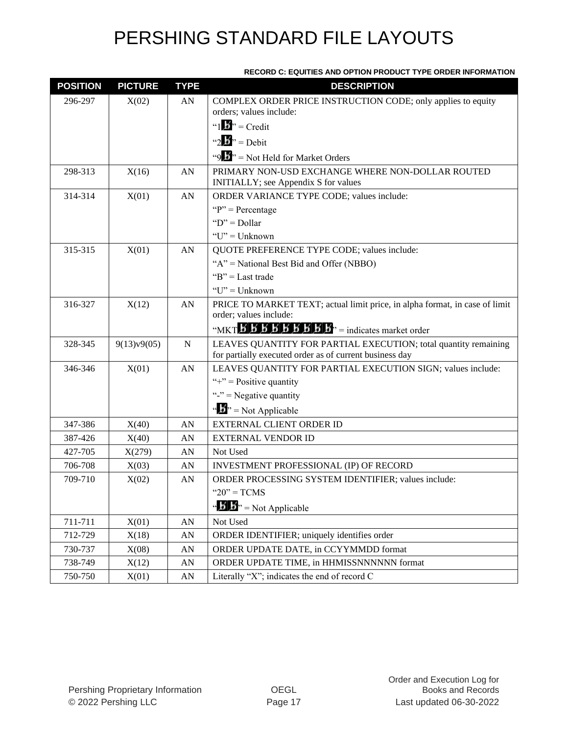| <b>POSITION</b> | <b>PICTURE</b> | <b>TYPE</b>      | <b>DESCRIPTION</b>                                                                                                         |
|-----------------|----------------|------------------|----------------------------------------------------------------------------------------------------------------------------|
| 296-297         | X(02)          | AN               | COMPLEX ORDER PRICE INSTRUCTION CODE; only applies to equity<br>orders; values include:                                    |
|                 |                |                  | " $1 \cdot \cdot \cdot$ " = Credit                                                                                         |
|                 |                |                  | "2 $\mathbf{B}$ " = Debit                                                                                                  |
|                 |                |                  | "9. $\cdot$ "> = Not Held for Market Orders                                                                                |
| 298-313         | X(16)          | AN               | PRIMARY NON-USD EXCHANGE WHERE NON-DOLLAR ROUTED<br>INITIALLY; see Appendix S for values                                   |
| 314-314         | X(01)          | AN               | ORDER VARIANCE TYPE CODE; values include:                                                                                  |
|                 |                |                  | " $P$ " = Percentage                                                                                                       |
|                 |                |                  | " $D$ " = Dollar                                                                                                           |
|                 |                |                  | " $U$ " = Unknown                                                                                                          |
| 315-315         | X(01)          | AN               | QUOTE PREFERENCE TYPE CODE; values include:                                                                                |
|                 |                |                  | " $A$ " = National Best Bid and Offer (NBBO)                                                                               |
|                 |                |                  | " $B$ " = Last trade                                                                                                       |
|                 |                |                  | "U" = Unknown                                                                                                              |
| 316-327         | X(12)          | AN               | PRICE TO MARKET TEXT; actual limit price, in alpha format, in case of limit                                                |
|                 |                |                  | order; values include:                                                                                                     |
|                 |                |                  |                                                                                                                            |
| 328-345         | 9(13)v9(05)    | $\mathbf N$      | LEAVES QUANTITY FOR PARTIAL EXECUTION; total quantity remaining<br>for partially executed order as of current business day |
| 346-346         | X(01)          | AN               | LEAVES QUANTITY FOR PARTIAL EXECUTION SIGN; values include:                                                                |
|                 |                |                  | "+" = Positive quantity                                                                                                    |
|                 |                |                  | "-" = Negative quantity                                                                                                    |
|                 |                |                  | " $\mathbf{b}$ " = Not Applicable                                                                                          |
| 347-386         | X(40)          | AN               | EXTERNAL CLIENT ORDER ID                                                                                                   |
| 387-426         | X(40)          | AN               | <b>EXTERNAL VENDOR ID</b>                                                                                                  |
| 427-705         | X(279)         | AN               | Not Used                                                                                                                   |
| 706-708         | X(03)          | AN               | <b>INVESTMENT PROFESSIONAL (IP) OF RECORD</b>                                                                              |
| 709-710         | X(02)          | AN               | ORDER PROCESSING SYSTEM IDENTIFIER; values include:                                                                        |
|                 |                |                  | " $20$ " = TCMS                                                                                                            |
|                 |                |                  | " $\mathbf{B}'$ $\mathbf{B}$ " = Not Applicable                                                                            |
| 711-711         | X(01)          | ${\rm AN}$       | Not Used                                                                                                                   |
| 712-729         | X(18)          | AN               | ORDER IDENTIFIER; uniquely identifies order                                                                                |
| 730-737         | X(08)          | ${\rm AN}$       | ORDER UPDATE DATE, in CCYYMMDD format                                                                                      |
| 738-749         | X(12)          | AN               | ORDER UPDATE TIME, in HHMISSNNNNNN format                                                                                  |
| 750-750         | X(01)          | ${\bf A}{\bf N}$ | Literally "X"; indicates the end of record C                                                                               |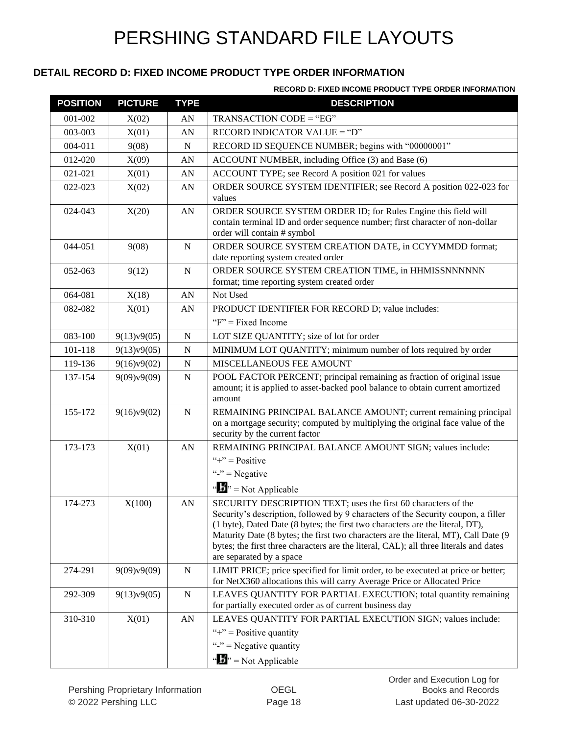#### **DETAIL RECORD D: FIXED INCOME PRODUCT TYPE ORDER INFORMATION**

#### **RECORD D: FIXED INCOME PRODUCT TYPE ORDER INFORMATION**

| <b>POSITION</b> | <b>PICTURE</b> | <b>TYPE</b> | <b>DESCRIPTION</b>                                                                                                                                                 |
|-----------------|----------------|-------------|--------------------------------------------------------------------------------------------------------------------------------------------------------------------|
| 001-002         | X(02)          | AN          | TRANSACTION CODE = "EG"                                                                                                                                            |
| 003-003         | X(01)          | AN          | RECORD INDICATOR VALUE = "D"                                                                                                                                       |
| 004-011         | 9(08)          | N           | RECORD ID SEQUENCE NUMBER; begins with "00000001"                                                                                                                  |
| 012-020         | X(09)          | AN          | ACCOUNT NUMBER, including Office (3) and Base (6)                                                                                                                  |
| 021-021         | X(01)          | AN          | ACCOUNT TYPE; see Record A position 021 for values                                                                                                                 |
| 022-023         | X(02)          | ${\rm AN}$  | ORDER SOURCE SYSTEM IDENTIFIER; see Record A position 022-023 for                                                                                                  |
|                 |                |             | values                                                                                                                                                             |
| 024-043         | X(20)          | ${\rm AN}$  | ORDER SOURCE SYSTEM ORDER ID; for Rules Engine this field will                                                                                                     |
|                 |                |             | contain terminal ID and order sequence number; first character of non-dollar<br>order will contain # symbol                                                        |
| 044-051         | 9(08)          | N           | ORDER SOURCE SYSTEM CREATION DATE, in CCYYMMDD format;                                                                                                             |
|                 |                |             | date reporting system created order                                                                                                                                |
| 052-063         | 9(12)          | $\mathbf N$ | ORDER SOURCE SYSTEM CREATION TIME, in HHMISSNNNNNN                                                                                                                 |
|                 |                |             | format; time reporting system created order                                                                                                                        |
| 064-081         | X(18)          | AN          | Not Used                                                                                                                                                           |
| 082-082         | X(01)          | AN          | PRODUCT IDENTIFIER FOR RECORD D; value includes:                                                                                                                   |
|                 |                |             | " $F$ " = Fixed Income"                                                                                                                                            |
| 083-100         | 9(13)v9(05)    | ${\bf N}$   | LOT SIZE QUANTITY; size of lot for order                                                                                                                           |
| 101-118         | 9(13)v9(05)    | ${\bf N}$   | MINIMUM LOT QUANTITY; minimum number of lots required by order                                                                                                     |
| 119-136         | 9(16)v9(02)    | N           | MISCELLANEOUS FEE AMOUNT                                                                                                                                           |
| 137-154         | 9(09)v9(09)    | ${\bf N}$   | POOL FACTOR PERCENT; principal remaining as fraction of original issue                                                                                             |
|                 |                |             | amount; it is applied to asset-backed pool balance to obtain current amortized<br>amount                                                                           |
| 155-172         | 9(16)v9(02)    | ${\bf N}$   | REMAINING PRINCIPAL BALANCE AMOUNT; current remaining principal                                                                                                    |
|                 |                |             | on a mortgage security; computed by multiplying the original face value of the                                                                                     |
|                 |                |             | security by the current factor                                                                                                                                     |
| 173-173         | X(01)          | AN          | REMAINING PRINCIPAL BALANCE AMOUNT SIGN; values include:                                                                                                           |
|                 |                |             | "+" = $Positive$                                                                                                                                                   |
|                 |                |             | "-" = Negative                                                                                                                                                     |
|                 |                |             | $\cdots$ $\cdots$ Not Applicable                                                                                                                                   |
| 174-273         | X(100)         | AN          | SECURITY DESCRIPTION TEXT; uses the first 60 characters of the                                                                                                     |
|                 |                |             | Security's description, followed by 9 characters of the Security coupon, a filler<br>(1 byte), Dated Date (8 bytes; the first two characters are the literal, DT), |
|                 |                |             | Maturity Date (8 bytes; the first two characters are the literal, MT), Call Date (9                                                                                |
|                 |                |             | bytes; the first three characters are the literal, CAL); all three literals and dates                                                                              |
|                 |                |             | are separated by a space                                                                                                                                           |
| 274-291         | 9(09)v9(09)    | N           | LIMIT PRICE; price specified for limit order, to be executed at price or better;                                                                                   |
|                 |                |             | for NetX360 allocations this will carry Average Price or Allocated Price                                                                                           |
| 292-309         | 9(13)v9(05)    | ${\bf N}$   | LEAVES QUANTITY FOR PARTIAL EXECUTION; total quantity remaining<br>for partially executed order as of current business day                                         |
| 310-310         | X(01)          | AN          | LEAVES QUANTITY FOR PARTIAL EXECUTION SIGN; values include:                                                                                                        |
|                 |                |             | "+" = Positive quantity                                                                                                                                            |
|                 |                |             | "-" = Negative quantity                                                                                                                                            |
|                 |                |             | " $\mathbf{F}$ " = Not Applicable                                                                                                                                  |
|                 |                |             |                                                                                                                                                                    |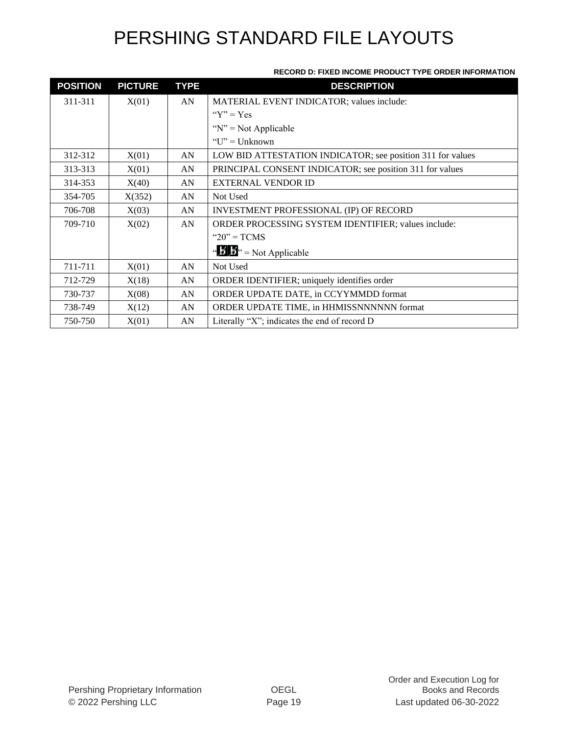#### **RECORD D: FIXED INCOME PRODUCT TYPE ORDER INFORMATION**

| <b>POSITION</b> | <b>PICTURE</b> | <b>TYPE</b> | <b>DESCRIPTION</b>                                         |
|-----------------|----------------|-------------|------------------------------------------------------------|
| 311-311         | X(01)          | AN          | MATERIAL EVENT INDICATOR; values include:                  |
|                 |                |             | " $Y$ " = Yes                                              |
|                 |                |             | " $N$ " = Not Applicable                                   |
|                 |                |             | " $U$ " = Unknown"                                         |
| 312-312         | X(01)          | AN          | LOW BID ATTESTATION INDICATOR; see position 311 for values |
| 313-313         | X(01)          | AN          | PRINCIPAL CONSENT INDICATOR; see position 311 for values   |
| 314-353         | X(40)          | AN          | <b>EXTERNAL VENDOR ID</b>                                  |
| 354-705         | X(352)         | AN          | Not Used                                                   |
| 706-708         | X(03)          | AN          | INVESTMENT PROFESSIONAL (IP) OF RECORD                     |
| 709-710         | X(02)          | AN          | ORDER PROCESSING SYSTEM IDENTIFIER; values include:        |
|                 |                |             | " $20$ " = TCMS                                            |
|                 |                |             | " $\mathbf{B}$ " = Not Applicable                          |
| 711-711         | X(01)          | AN          | Not Used                                                   |
| 712-729         | X(18)          | AN          | ORDER IDENTIFIER; uniquely identifies order                |
| 730-737         | X(08)          | AN          | ORDER UPDATE DATE, in CCYYMMDD format                      |
| 738-749         | X(12)          | AN          | ORDER UPDATE TIME, in HHMISSNNNNNN format                  |
| 750-750         | X(01)          | AN          | Literally "X"; indicates the end of record $D$             |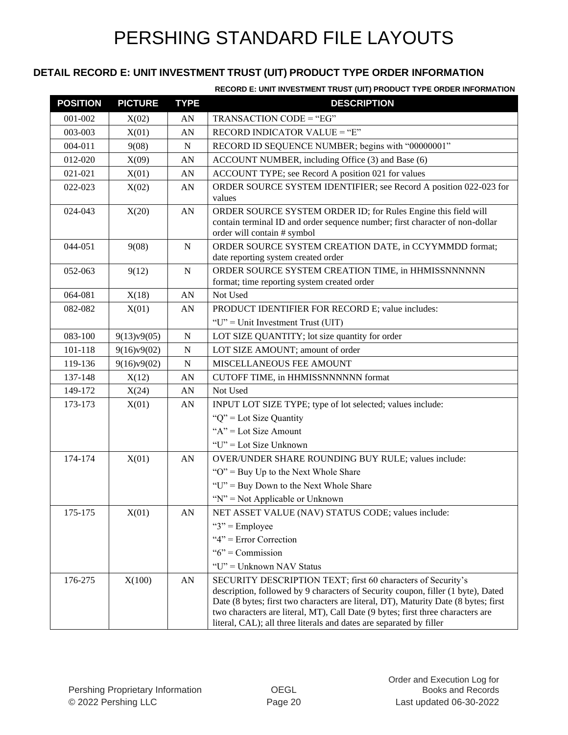### **DETAIL RECORD E: UNIT INVESTMENT TRUST (UIT) PRODUCT TYPE ORDER INFORMATION**

#### **RECORD E: UNIT INVESTMENT TRUST (UIT) PRODUCT TYPE ORDER INFORMATION**

| <b>POSITION</b> | <b>PICTURE</b> | <b>TYPE</b> | <b>DESCRIPTION</b>                                                                                                                                                                                                                                                                                                                                                                                |
|-----------------|----------------|-------------|---------------------------------------------------------------------------------------------------------------------------------------------------------------------------------------------------------------------------------------------------------------------------------------------------------------------------------------------------------------------------------------------------|
| 001-002         | X(02)          | AN          | TRANSACTION CODE = "EG"                                                                                                                                                                                                                                                                                                                                                                           |
| 003-003         | X(01)          | AN          | RECORD INDICATOR VALUE = "E"                                                                                                                                                                                                                                                                                                                                                                      |
| 004-011         | 9(08)          | $\mathbf N$ | RECORD ID SEQUENCE NUMBER; begins with "00000001"                                                                                                                                                                                                                                                                                                                                                 |
| 012-020         | X(09)          | AN          | ACCOUNT NUMBER, including Office (3) and Base (6)                                                                                                                                                                                                                                                                                                                                                 |
| 021-021         | X(01)          | AN          | ACCOUNT TYPE; see Record A position 021 for values                                                                                                                                                                                                                                                                                                                                                |
| 022-023         | X(02)          | AN          | ORDER SOURCE SYSTEM IDENTIFIER; see Record A position 022-023 for<br>values                                                                                                                                                                                                                                                                                                                       |
| 024-043         | X(20)          | AN          | ORDER SOURCE SYSTEM ORDER ID; for Rules Engine this field will<br>contain terminal ID and order sequence number; first character of non-dollar<br>order will contain # symbol                                                                                                                                                                                                                     |
| 044-051         | 9(08)          | ${\bf N}$   | ORDER SOURCE SYSTEM CREATION DATE, in CCYYMMDD format;<br>date reporting system created order                                                                                                                                                                                                                                                                                                     |
| 052-063         | 9(12)          | N           | ORDER SOURCE SYSTEM CREATION TIME, in HHMISSNNNNNN<br>format; time reporting system created order                                                                                                                                                                                                                                                                                                 |
| 064-081         | X(18)          | AN          | Not Used                                                                                                                                                                                                                                                                                                                                                                                          |
| 082-082         | X(01)          | AN          | PRODUCT IDENTIFIER FOR RECORD E; value includes:<br>"U" = Unit Investment Trust (UIT)                                                                                                                                                                                                                                                                                                             |
| 083-100         | 9(13)v9(05)    | N           | LOT SIZE QUANTITY; lot size quantity for order                                                                                                                                                                                                                                                                                                                                                    |
| 101-118         | 9(16)v9(02)    | N           | LOT SIZE AMOUNT; amount of order                                                                                                                                                                                                                                                                                                                                                                  |
| 119-136         | 9(16)v9(02)    | $\mathbf N$ | MISCELLANEOUS FEE AMOUNT                                                                                                                                                                                                                                                                                                                                                                          |
| 137-148         | X(12)          | AN          | CUTOFF TIME, in HHMISSNNNNNN format                                                                                                                                                                                                                                                                                                                                                               |
| 149-172         | X(24)          | AN          | Not Used                                                                                                                                                                                                                                                                                                                                                                                          |
| 173-173         | X(01)          | AN          | INPUT LOT SIZE TYPE; type of lot selected; values include:                                                                                                                                                                                                                                                                                                                                        |
|                 |                |             | " $Q$ " = Lot Size Quantity"                                                                                                                                                                                                                                                                                                                                                                      |
|                 |                |             | " $A$ " = Lot Size Amount                                                                                                                                                                                                                                                                                                                                                                         |
|                 |                |             | "U" = Lot Size Unknown                                                                                                                                                                                                                                                                                                                                                                            |
| 174-174         | X(01)          | AN          | OVER/UNDER SHARE ROUNDING BUY RULE; values include:                                                                                                                                                                                                                                                                                                                                               |
|                 |                |             | " $O$ " = Buy Up to the Next Whole Share                                                                                                                                                                                                                                                                                                                                                          |
|                 |                |             | "U" = Buy Down to the Next Whole Share                                                                                                                                                                                                                                                                                                                                                            |
|                 |                |             | " $N$ " = Not Applicable or Unknown                                                                                                                                                                                                                                                                                                                                                               |
| 175-175         | X(01)          | ${\rm AN}$  | NET ASSET VALUE (NAV) STATUS CODE; values include:                                                                                                                                                                                                                                                                                                                                                |
|                 |                |             | " $3$ " = Employee                                                                                                                                                                                                                                                                                                                                                                                |
|                 |                |             | " $4$ " = Error Correction                                                                                                                                                                                                                                                                                                                                                                        |
|                 |                |             | " $6$ " = Commission                                                                                                                                                                                                                                                                                                                                                                              |
|                 |                |             | "U" = Unknown NAV Status                                                                                                                                                                                                                                                                                                                                                                          |
| 176-275         | X(100)         | AN          | SECURITY DESCRIPTION TEXT; first 60 characters of Security's<br>description, followed by 9 characters of Security coupon, filler (1 byte), Dated<br>Date (8 bytes; first two characters are literal, DT), Maturity Date (8 bytes; first<br>two characters are literal, MT), Call Date (9 bytes; first three characters are<br>literal, CAL); all three literals and dates are separated by filler |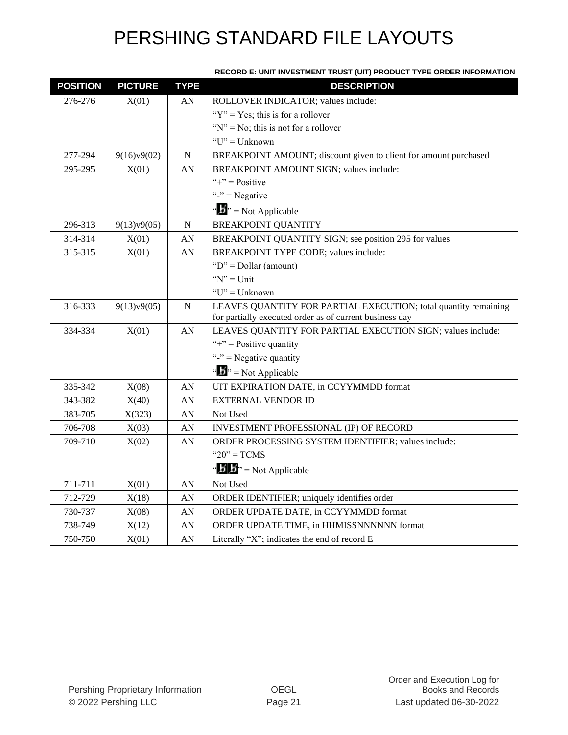| <b>POSITION</b> | <b>PICTURE</b> | <b>TYPE</b> | 00ND E. 0NH INVEDIMENT TROOT (0H) I NODOOT TITE ONDER INI ON<br><b>DESCRIPTION</b> |
|-----------------|----------------|-------------|------------------------------------------------------------------------------------|
| 276-276         | X(01)          | AN          | ROLLOVER INDICATOR; values include:                                                |
|                 |                |             | " $Y$ " = Yes; this is for a rollover"                                             |
|                 |                |             | " $N$ " = No; this is not for a rollover                                           |
|                 |                |             | $"U"$ = Unknown                                                                    |
| 277-294         | 9(16)v9(02)    | ${\bf N}$   | BREAKPOINT AMOUNT; discount given to client for amount purchased                   |
| 295-295         | X(01)          | AN          | BREAKPOINT AMOUNT SIGN; values include:                                            |
|                 |                |             | "+" = $Positive$                                                                   |
|                 |                |             | "-" = Negative                                                                     |
|                 |                |             | " $\mathbf{F}$ " = Not Applicable                                                  |
| 296-313         | 9(13)v9(05)    | ${\bf N}$   | <b>BREAKPOINT QUANTITY</b>                                                         |
| 314-314         | X(01)          | AN          | BREAKPOINT QUANTITY SIGN; see position 295 for values                              |
| 315-315         | X(01)          | AN          | BREAKPOINT TYPE CODE; values include:                                              |
|                 |                |             | " $D$ " = Dollar (amount)                                                          |
|                 |                |             | " $N$ " = Unit                                                                     |
|                 |                |             | " $U$ " = Unknown"                                                                 |
| 316-333         | 9(13)v9(05)    | ${\bf N}$   | LEAVES QUANTITY FOR PARTIAL EXECUTION; total quantity remaining                    |
|                 |                |             | for partially executed order as of current business day                            |
| 334-334         | X(01)          | AN          | LEAVES QUANTITY FOR PARTIAL EXECUTION SIGN; values include:                        |
|                 |                |             | "+" = Positive quantity                                                            |
|                 |                |             | "-" = Negative quantity                                                            |
|                 |                |             | $\cdots$ S <sup>3</sup> <sup>3</sup> = Not Applicable                              |
| 335-342         | X(08)          | AN          | UIT EXPIRATION DATE, in CCYYMMDD format                                            |
| 343-382         | X(40)          | AN          | <b>EXTERNAL VENDOR ID</b>                                                          |
| 383-705         | X(323)         | AN          | Not Used                                                                           |
| 706-708         | X(03)          | AN          | INVESTMENT PROFESSIONAL (IP) OF RECORD                                             |
| 709-710         | X(02)          | AN          | ORDER PROCESSING SYSTEM IDENTIFIER; values include:                                |
|                 |                |             | " $20$ " = TCMS                                                                    |
|                 |                |             | $\mathbf{A} \cdot \mathbf{B}$ $\mathbf{B}$ $\mathbf{B}$ = Not Applicable           |
| 711-711         | X(01)          | AN          | Not Used                                                                           |
| 712-729         | X(18)          | AN          | ORDER IDENTIFIER; uniquely identifies order                                        |
| 730-737         | X(08)          | AN          | ORDER UPDATE DATE, in CCYYMMDD format                                              |
| 738-749         | X(12)          | AN          | ORDER UPDATE TIME, in HHMISSNNNNNN format                                          |
| 750-750         | X(01)          | AN          | Literally "X"; indicates the end of record E                                       |

#### **RECORD E: UNIT INVESTMENT TRUST (UIT) PRODUCT TYPE ORDER INFORMATION**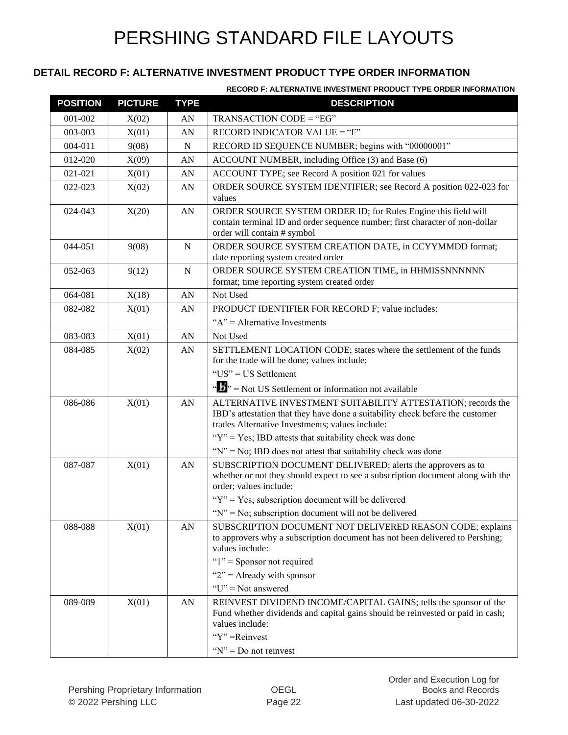#### **DETAIL RECORD F: ALTERNATIVE INVESTMENT PRODUCT TYPE ORDER INFORMATION**

#### **RECORD F: ALTERNATIVE INVESTMENT PRODUCT TYPE ORDER INFORMATION**

| <b>POSITION</b> | <b>PICTURE</b> | <b>TYPE</b> | <b>DESCRIPTION</b>                                                                                                                                                                              |
|-----------------|----------------|-------------|-------------------------------------------------------------------------------------------------------------------------------------------------------------------------------------------------|
| 001-002         | X(02)          | AN          | TRANSACTION CODE = "EG"                                                                                                                                                                         |
| 003-003         | X(01)          | AN          | RECORD INDICATOR VALUE = "F"                                                                                                                                                                    |
| $004 - 011$     | 9(08)          | N           | RECORD ID SEQUENCE NUMBER; begins with "00000001"                                                                                                                                               |
| 012-020         | X(09)          | AN          | ACCOUNT NUMBER, including Office (3) and Base (6)                                                                                                                                               |
| 021-021         | X(01)          | AN          | ACCOUNT TYPE; see Record A position 021 for values                                                                                                                                              |
| 022-023         | X(02)          | AN          | ORDER SOURCE SYSTEM IDENTIFIER; see Record A position 022-023 for<br>values                                                                                                                     |
| 024-043         | X(20)          | AN          | ORDER SOURCE SYSTEM ORDER ID; for Rules Engine this field will<br>contain terminal ID and order sequence number; first character of non-dollar<br>order will contain # symbol                   |
| 044-051         | 9(08)          | N           | ORDER SOURCE SYSTEM CREATION DATE, in CCYYMMDD format;<br>date reporting system created order                                                                                                   |
| 052-063         | 9(12)          | $\mathbf N$ | ORDER SOURCE SYSTEM CREATION TIME, in HHMISSNNNNNN<br>format; time reporting system created order                                                                                               |
| 064-081         | X(18)          | AN          | Not Used                                                                                                                                                                                        |
| 082-082         | X(01)          | AN          | PRODUCT IDENTIFIER FOR RECORD F; value includes:<br>" $A$ " = Alternative Investments                                                                                                           |
| 083-083         | X(01)          | AN          | Not Used                                                                                                                                                                                        |
| 084-085         | X(02)          | AN          | SETTLEMENT LOCATION CODE; states where the settlement of the funds<br>for the trade will be done; values include:<br>"US" = US Settlement                                                       |
|                 |                |             | " $\mathbf{F}$ " = Not US Settlement or information not available                                                                                                                               |
| 086-086         | X(01)          | AN          | ALTERNATIVE INVESTMENT SUITABILITY ATTESTATION; records the<br>IBD's attestation that they have done a suitability check before the customer<br>trades Alternative Investments; values include: |
|                 |                |             | " $Y$ " = Yes; IBD attests that suitability check was done                                                                                                                                      |
|                 |                |             | " $N$ " = No; IBD does not attest that suitability check was done                                                                                                                               |
| 087-087         | X(01)          | AN          | SUBSCRIPTION DOCUMENT DELIVERED; alerts the approvers as to<br>whether or not they should expect to see a subscription document along with the<br>order; values include:                        |
|                 |                |             | " $Y$ " = Yes; subscription document will be delivered                                                                                                                                          |
|                 |                |             | " $N$ " = No; subscription document will not be delivered                                                                                                                                       |
| 088-088         | X(01)          | AN          | SUBSCRIPTION DOCUMENT NOT DELIVERED REASON CODE; explains<br>to approvers why a subscription document has not been delivered to Pershing;<br>values include:                                    |
|                 |                |             | " $1$ " = Sponsor not required                                                                                                                                                                  |
|                 |                |             | " $2$ " = Already with sponsor                                                                                                                                                                  |
|                 |                |             | " $U$ " = Not answered                                                                                                                                                                          |
| 089-089         | X(01)          | AN          | REINVEST DIVIDEND INCOME/CAPITAL GAINS; tells the sponsor of the<br>Fund whether dividends and capital gains should be reinvested or paid in cash;<br>values include:                           |
|                 |                |             | "Y"=Reinvest                                                                                                                                                                                    |
|                 |                |             | " $N$ " = Do not reinvest                                                                                                                                                                       |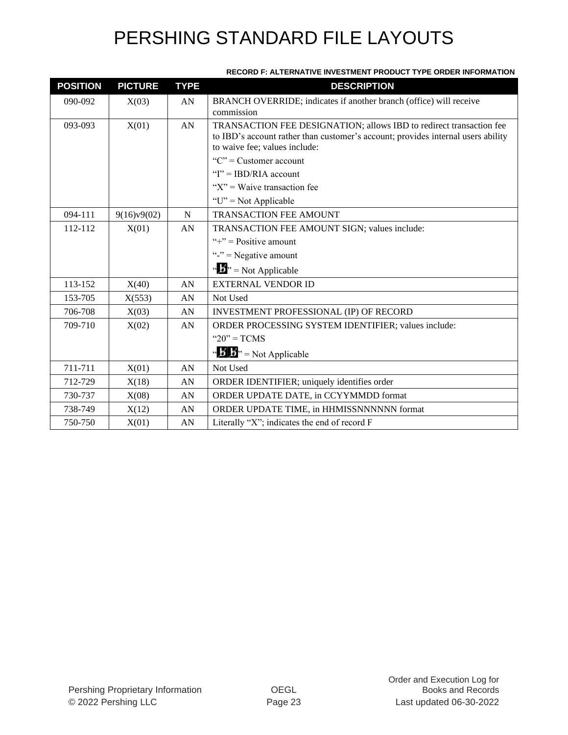| <b>POSITION</b> | <b>PICTURE</b> | <b>TYPE</b> | <b>DESCRIPTION</b>                                                                                                                                                                       |
|-----------------|----------------|-------------|------------------------------------------------------------------------------------------------------------------------------------------------------------------------------------------|
| 090-092         | X(03)          | AN          | BRANCH OVERRIDE; indicates if another branch (office) will receive<br>commission                                                                                                         |
| 093-093         | X(01)          | AN          | TRANSACTION FEE DESIGNATION; allows IBD to redirect transaction fee<br>to IBD's account rather than customer's account; provides internal users ability<br>to waive fee; values include: |
|                 |                |             | " $C$ " = Customer account                                                                                                                                                               |
|                 |                |             | " $I$ " = IBD/RIA account                                                                                                                                                                |
|                 |                |             | " $X$ " = Waive transaction fee                                                                                                                                                          |
|                 |                |             | " $U$ " = Not Applicable                                                                                                                                                                 |
| 094-111         | 9(16)v9(02)    | $\mathbf N$ | <b>TRANSACTION FEE AMOUNT</b>                                                                                                                                                            |
| 112-112         | X(01)          | AN          | TRANSACTION FEE AMOUNT SIGN; values include:                                                                                                                                             |
|                 |                |             | "+" = $Positive amount$                                                                                                                                                                  |
|                 |                |             | "-" = Negative amount                                                                                                                                                                    |
|                 |                |             | " $\mathbf{F}$ " = Not Applicable                                                                                                                                                        |
| 113-152         | X(40)          | AN          | <b>EXTERNAL VENDOR ID</b>                                                                                                                                                                |
| 153-705         | X(553)         | AN          | Not Used                                                                                                                                                                                 |
| 706-708         | X(03)          | AN          | INVESTMENT PROFESSIONAL (IP) OF RECORD                                                                                                                                                   |
| 709-710         | X(02)          | AN          | ORDER PROCESSING SYSTEM IDENTIFIER; values include:                                                                                                                                      |
|                 |                |             | " $20"$ = TCMS                                                                                                                                                                           |
|                 |                |             | " $\mathbf{B}$ " = Not Applicable                                                                                                                                                        |
| 711-711         | X(01)          | AN          | Not Used                                                                                                                                                                                 |
| 712-729         | X(18)          | AN          | ORDER IDENTIFIER; uniquely identifies order                                                                                                                                              |
| 730-737         | X(08)          | AN          | ORDER UPDATE DATE, in CCYYMMDD format                                                                                                                                                    |
| 738-749         | X(12)          | AN          | ORDER UPDATE TIME, in HHMISSNNNNNN format                                                                                                                                                |
| 750-750         | X(01)          | AN          | Literally "X"; indicates the end of record F                                                                                                                                             |

#### **RECORD F: ALTERNATIVE INVESTMENT PRODUCT TYPE ORDER INFORMATION**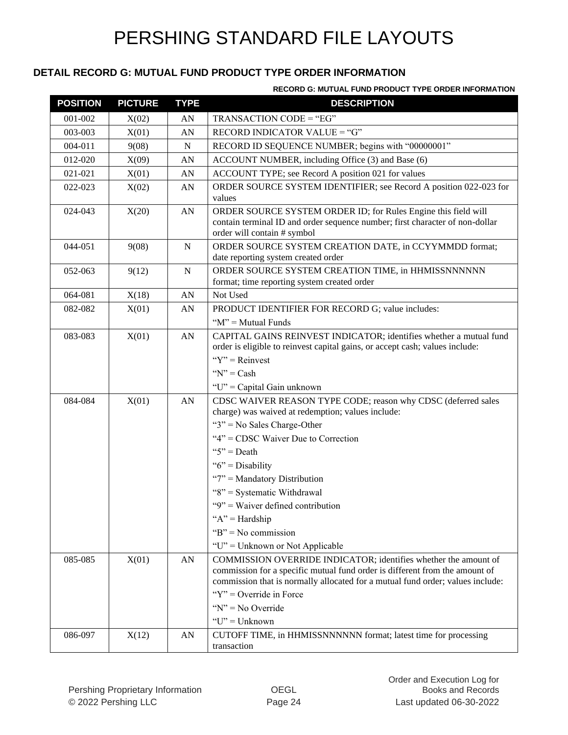#### **DETAIL RECORD G: MUTUAL FUND PRODUCT TYPE ORDER INFORMATION**

**RECORD G: MUTUAL FUND PRODUCT TYPE ORDER INFORMATION**

| <b>POSITION</b> | <b>PICTURE</b> | <b>TYPE</b> | <b>DESCRIPTION</b>                                                                                                                                                                                                               |
|-----------------|----------------|-------------|----------------------------------------------------------------------------------------------------------------------------------------------------------------------------------------------------------------------------------|
| 001-002         | X(02)          | AN          | TRANSACTION CODE = "EG"                                                                                                                                                                                                          |
| 003-003         | X(01)          | AN          | RECORD INDICATOR VALUE = "G"                                                                                                                                                                                                     |
| 004-011         | 9(08)          | N           | RECORD ID SEQUENCE NUMBER; begins with "00000001"                                                                                                                                                                                |
| 012-020         | X(09)          | AN          | ACCOUNT NUMBER, including Office (3) and Base (6)                                                                                                                                                                                |
| 021-021         | X(01)          | AN          | ACCOUNT TYPE; see Record A position 021 for values                                                                                                                                                                               |
| 022-023         | X(02)          | ${\rm AN}$  | ORDER SOURCE SYSTEM IDENTIFIER; see Record A position 022-023 for<br>values                                                                                                                                                      |
| 024-043         | X(20)          | AN          | ORDER SOURCE SYSTEM ORDER ID; for Rules Engine this field will<br>contain terminal ID and order sequence number; first character of non-dollar<br>order will contain # symbol                                                    |
| 044-051         | 9(08)          | N           | ORDER SOURCE SYSTEM CREATION DATE, in CCYYMMDD format;<br>date reporting system created order                                                                                                                                    |
| 052-063         | 9(12)          | ${\bf N}$   | ORDER SOURCE SYSTEM CREATION TIME, in HHMISSNNNNNN<br>format; time reporting system created order                                                                                                                                |
| 064-081         | X(18)          | AN          | Not Used                                                                                                                                                                                                                         |
| 082-082         | X(01)          | AN          | PRODUCT IDENTIFIER FOR RECORD G; value includes:<br>" $M$ " = Mutual Funds                                                                                                                                                       |
| 083-083         | X(01)          | AN          | CAPITAL GAINS REINVEST INDICATOR; identifies whether a mutual fund<br>order is eligible to reinvest capital gains, or accept cash; values include:                                                                               |
|                 |                |             | " $Y$ " = Reinvest                                                                                                                                                                                                               |
|                 |                |             | " $N$ " = Cash                                                                                                                                                                                                                   |
|                 |                |             | "U" = Capital Gain unknown                                                                                                                                                                                                       |
| 084-084         | X(01)          | ${\rm AN}$  | CDSC WAIVER REASON TYPE CODE; reason why CDSC (deferred sales<br>charge) was waived at redemption; values include:                                                                                                               |
|                 |                |             | " $3$ " = No Sales Charge-Other                                                                                                                                                                                                  |
|                 |                |             | "4" = CDSC Waiver Due to Correction                                                                                                                                                                                              |
|                 |                |             | " $5$ " = Death                                                                                                                                                                                                                  |
|                 |                |             | " $6$ " = Disability                                                                                                                                                                                                             |
|                 |                |             | "7" = Mandatory Distribution                                                                                                                                                                                                     |
|                 |                |             | "8" = Systematic Withdrawal                                                                                                                                                                                                      |
|                 |                |             | " $9$ " = Waiver defined contribution                                                                                                                                                                                            |
|                 |                |             | " $A$ " = Hardship                                                                                                                                                                                                               |
|                 |                |             | " $B$ " = No commission                                                                                                                                                                                                          |
|                 |                |             | "U" = Unknown or Not Applicable                                                                                                                                                                                                  |
| 085-085         | X(01)          | AN          | COMMISSION OVERRIDE INDICATOR; identifies whether the amount of<br>commission for a specific mutual fund order is different from the amount of<br>commission that is normally allocated for a mutual fund order; values include: |
|                 |                |             | " $Y$ " = Override in Force                                                                                                                                                                                                      |
|                 |                |             | " $N$ " = No Override                                                                                                                                                                                                            |
|                 |                |             | " $U$ " = Unknown                                                                                                                                                                                                                |
| 086-097         | X(12)          | AN          | CUTOFF TIME, in HHMISSNNNNNN format; latest time for processing                                                                                                                                                                  |
|                 |                |             | transaction                                                                                                                                                                                                                      |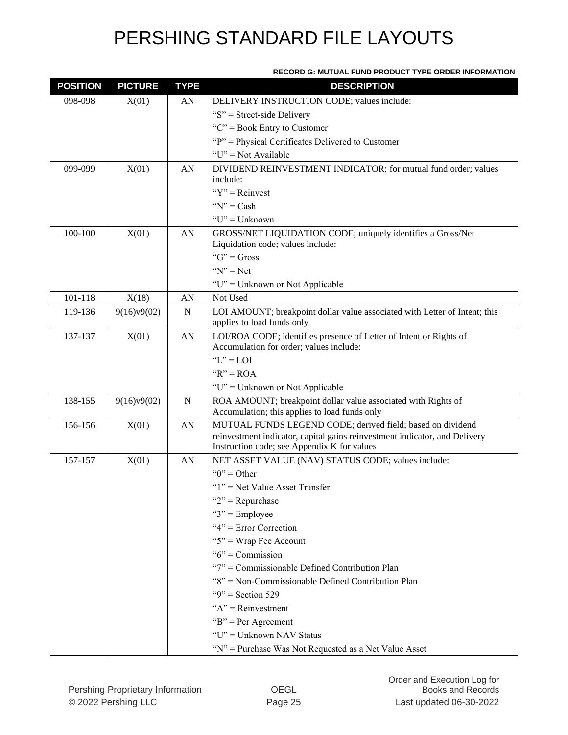#### **RECORD G: MUTUAL FUND PRODUCT TYPE ORDER INFORMATION**

| <b>POSITION</b> | <b>PICTURE</b> | <b>TYPE</b> | <b>DESCRIPTION</b>                                                                                                                                                                      |
|-----------------|----------------|-------------|-----------------------------------------------------------------------------------------------------------------------------------------------------------------------------------------|
| 098-098         | X(01)          | AN          | DELIVERY INSTRUCTION CODE; values include:                                                                                                                                              |
|                 |                |             | " $S$ " = Street-side Delivery                                                                                                                                                          |
|                 |                |             | " $C$ " = Book Entry to Customer                                                                                                                                                        |
|                 |                |             | "P" = Physical Certificates Delivered to Customer                                                                                                                                       |
|                 |                |             | " $U$ " = Not Available                                                                                                                                                                 |
| 099-099         | X(01)          | AN          | DIVIDEND REINVESTMENT INDICATOR; for mutual fund order; values<br>include:                                                                                                              |
|                 |                |             | " $Y$ " = Reinvest                                                                                                                                                                      |
|                 |                |             | " $N$ " = Cash                                                                                                                                                                          |
|                 |                |             | $"U"$ = Unknown                                                                                                                                                                         |
| 100-100         | X(01)          | AN          | GROSS/NET LIQUIDATION CODE; uniquely identifies a Gross/Net                                                                                                                             |
|                 |                |             | Liquidation code; values include:                                                                                                                                                       |
|                 |                |             | " $G$ " = Gross                                                                                                                                                                         |
|                 |                |             | " $N$ " = Net                                                                                                                                                                           |
|                 |                |             | "U" = Unknown or Not Applicable                                                                                                                                                         |
| 101-118         | X(18)          | AN          | Not Used                                                                                                                                                                                |
| 119-136         | 9(16)v9(02)    | N           | LOI AMOUNT; breakpoint dollar value associated with Letter of Intent; this<br>applies to load funds only                                                                                |
| 137-137         | X(01)          | AN          | LOI/ROA CODE; identifies presence of Letter of Intent or Rights of<br>Accumulation for order; values include:                                                                           |
|                 |                |             | " $L$ " = LOI                                                                                                                                                                           |
|                 |                |             | " $R$ " = ROA                                                                                                                                                                           |
|                 |                |             | " $U$ " = Unknown or Not Applicable                                                                                                                                                     |
| 138-155         | 9(16)v9(02)    | $\mathbf N$ | ROA AMOUNT; breakpoint dollar value associated with Rights of<br>Accumulation; this applies to load funds only                                                                          |
| 156-156         | X(01)          | AN          | MUTUAL FUNDS LEGEND CODE; derived field; based on dividend<br>reinvestment indicator, capital gains reinvestment indicator, and Delivery<br>Instruction code; see Appendix K for values |
| 157-157         | X(01)          | AN          | NET ASSET VALUE (NAV) STATUS CODE; values include:                                                                                                                                      |
|                 |                |             | " $0$ " = Other                                                                                                                                                                         |
|                 |                |             | " $1$ " = Net Value Asset Transfer                                                                                                                                                      |
|                 |                |             | " $2$ " = Repurchase                                                                                                                                                                    |
|                 |                |             | " $3$ " = Employee                                                                                                                                                                      |
|                 |                |             | " $4$ " = Error Correction                                                                                                                                                              |
|                 |                |             | " $5$ " = Wrap Fee Account                                                                                                                                                              |
|                 |                |             | " $6$ " = Commission                                                                                                                                                                    |
|                 |                |             | "7" = Commissionable Defined Contribution Plan                                                                                                                                          |
|                 |                |             | "8" = Non-Commissionable Defined Contribution Plan                                                                                                                                      |
|                 |                |             | "9" = Section 529                                                                                                                                                                       |
|                 |                |             | " $A$ " = Reinvestment                                                                                                                                                                  |
|                 |                |             | " $B$ " = Per Agreement                                                                                                                                                                 |
|                 |                |             | "U" = Unknown NAV Status                                                                                                                                                                |
|                 |                |             | "N" = Purchase Was Not Requested as a Net Value Asset                                                                                                                                   |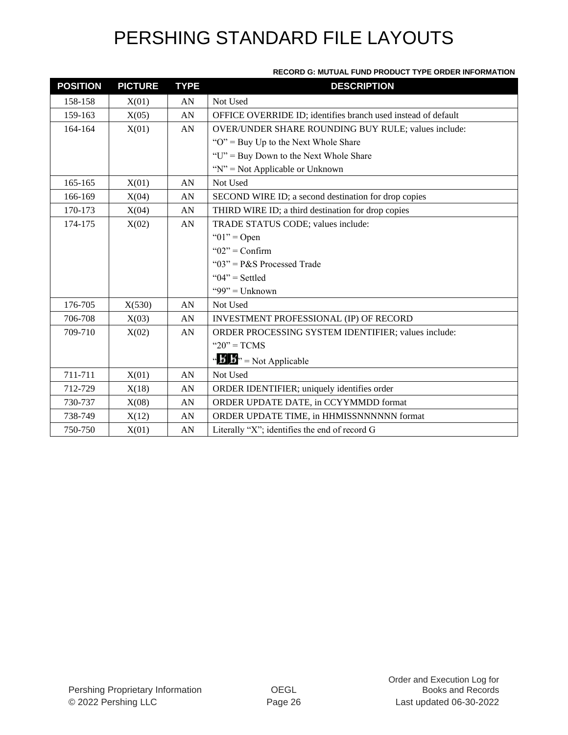| <b>RECORD G: MUTUAL FUND PRODUCT TYPE ORDER INFORMATION</b> |  |
|-------------------------------------------------------------|--|
|                                                             |  |

| <b>POSITION</b> | <b>PICTURE</b> | <b>TYPE</b> | <b>DESCRIPTION</b>                                            |
|-----------------|----------------|-------------|---------------------------------------------------------------|
| 158-158         | X(01)          | AN          | Not Used                                                      |
| 159-163         | X(05)          | AN          | OFFICE OVERRIDE ID; identifies branch used instead of default |
| 164-164         | X(01)          | AN          | OVER/UNDER SHARE ROUNDING BUY RULE; values include:           |
|                 |                |             | " $O$ " = Buy Up to the Next Whole Share                      |
|                 |                |             | "U" = Buy Down to the Next Whole Share                        |
|                 |                |             | " $N$ " = Not Applicable or Unknown                           |
| 165-165         | X(01)          | AN          | Not Used                                                      |
| 166-169         | X(04)          | AN          | SECOND WIRE ID; a second destination for drop copies          |
| 170-173         | X(04)          | AN          | THIRD WIRE ID; a third destination for drop copies            |
| 174-175         | X(02)          | AN          | TRADE STATUS CODE; values include:                            |
|                 |                |             | " $01$ " = Open                                               |
|                 |                |             | " $02$ " = Confirm                                            |
|                 |                |             | " $03$ " = P&S Processed Trade                                |
|                 |                |             | " $04$ " = Settled                                            |
|                 |                |             | "99" = $Unknown$                                              |
| 176-705         | X(530)         | AN          | Not Used                                                      |
| 706-708         | X(03)          | AN          | INVESTMENT PROFESSIONAL (IP) OF RECORD                        |
| 709-710         | X(02)          | AN          | ORDER PROCESSING SYSTEM IDENTIFIER; values include:           |
|                 |                |             | " $20$ " = TCMS                                               |
|                 |                |             | " $\mathbf{B}$ " = Not Applicable                             |
| 711-711         | X(01)          | AN          | Not Used                                                      |
| 712-729         | X(18)          | AN          | ORDER IDENTIFIER; uniquely identifies order                   |
| 730-737         | X(08)          | AN          | ORDER UPDATE DATE, in CCYYMMDD format                         |
| 738-749         | X(12)          | AN          | ORDER UPDATE TIME, in HHMISSNNNNNN format                     |
| 750-750         | X(01)          | AN          | Literally "X"; identifies the end of record G                 |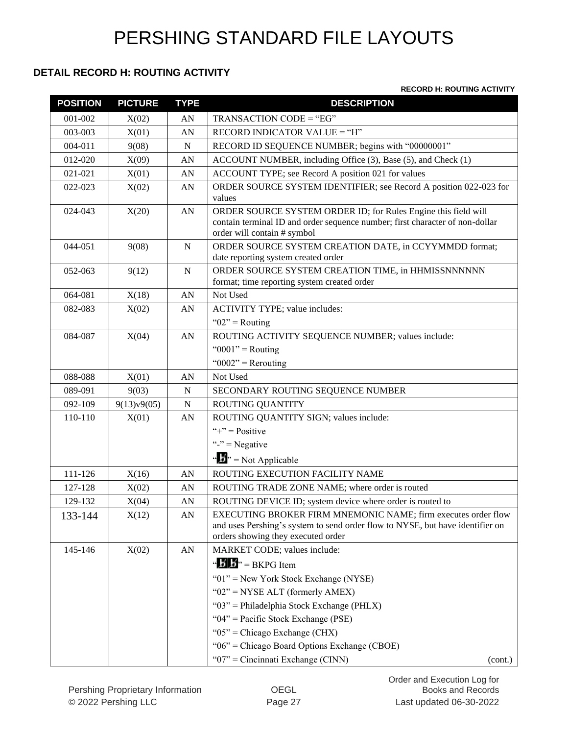#### **DETAIL RECORD H: ROUTING ACTIVITY**

#### **RECORD H: ROUTING ACTIVITY**

| <b>POSITION</b> | <b>PICTURE</b> | <b>TYPE</b> | <b>DESCRIPTION</b>                                                                                                  |
|-----------------|----------------|-------------|---------------------------------------------------------------------------------------------------------------------|
| 001-002         | X(02)          | AN          | TRANSACTION CODE = "EG"                                                                                             |
| 003-003         | X(01)          | AN          | RECORD INDICATOR VALUE = "H"                                                                                        |
| 004-011         | 9(08)          | $\mathbf N$ | RECORD ID SEQUENCE NUMBER; begins with "00000001"                                                                   |
| 012-020         | X(09)          | AN          | ACCOUNT NUMBER, including Office (3), Base (5), and Check (1)                                                       |
| 021-021         | X(01)          | AN          | ACCOUNT TYPE; see Record A position 021 for values                                                                  |
| 022-023         | X(02)          | AN          | ORDER SOURCE SYSTEM IDENTIFIER; see Record A position 022-023 for                                                   |
|                 |                |             | values                                                                                                              |
| 024-043         | X(20)          | AN          | ORDER SOURCE SYSTEM ORDER ID; for Rules Engine this field will                                                      |
|                 |                |             | contain terminal ID and order sequence number; first character of non-dollar<br>order will contain # symbol         |
| 044-051         | 9(08)          | ${\bf N}$   | ORDER SOURCE SYSTEM CREATION DATE, in CCYYMMDD format;                                                              |
|                 |                |             | date reporting system created order                                                                                 |
| 052-063         | 9(12)          | N           | ORDER SOURCE SYSTEM CREATION TIME, in HHMISSNNNNNN                                                                  |
|                 |                |             | format; time reporting system created order                                                                         |
| 064-081         | X(18)          | AN          | Not Used                                                                                                            |
| 082-083         | X(02)          | AN          | ACTIVITY TYPE; value includes:                                                                                      |
|                 |                |             | " $02$ " = Routing                                                                                                  |
| 084-087         | X(04)          | AN          | ROUTING ACTIVITY SEQUENCE NUMBER; values include:                                                                   |
|                 |                |             | " $0001$ " = Routing                                                                                                |
|                 |                |             | " $0002$ " = Rerouting                                                                                              |
| 088-088         | X(01)          | AN          | Not Used                                                                                                            |
| 089-091         | 9(03)          | N           | SECONDARY ROUTING SEQUENCE NUMBER                                                                                   |
| 092-109         | 9(13)v9(05)    | N           | <b>ROUTING QUANTITY</b>                                                                                             |
| 110-110         | X(01)          | AN          | ROUTING QUANTITY SIGN; values include:                                                                              |
|                 |                |             | "+" = $Positive$                                                                                                    |
|                 |                |             | "-" = Negative                                                                                                      |
|                 |                |             | " $\mathbf{F}$ " = Not Applicable                                                                                   |
| 111-126         | X(16)          | AN          | ROUTING EXECUTION FACILITY NAME                                                                                     |
| 127-128         | X(02)          | AN          | ROUTING TRADE ZONE NAME; where order is routed                                                                      |
| 129-132         | X(04)          | AN          | ROUTING DEVICE ID; system device where order is routed to                                                           |
| 133-144         | X(12)          | AN          | EXECUTING BROKER FIRM MNEMONIC NAME; firm executes order flow                                                       |
|                 |                |             | and uses Pershing's system to send order flow to NYSE, but have identifier on<br>orders showing they executed order |
| 145-146         | X(02)          | AN          | MARKET CODE; values include:                                                                                        |
|                 |                |             | " $\mathbf{B}$ " = BKPG Item                                                                                        |
|                 |                |             |                                                                                                                     |
|                 |                |             | " $01$ " = New York Stock Exchange (NYSE)                                                                           |
|                 |                |             | " $02$ " = NYSE ALT (formerly AMEX)<br>" $03$ " = Philadelphia Stock Exchange (PHLX)                                |
|                 |                |             | " $04$ " = Pacific Stock Exchange (PSE)                                                                             |
|                 |                |             | " $05$ " = Chicago Exchange (CHX)                                                                                   |
|                 |                |             | "06" = Chicago Board Options Exchange (CBOE)                                                                        |
|                 |                |             | " $07$ " = Cincinnati Exchange (CINN)<br>(cont.)                                                                    |
|                 |                |             |                                                                                                                     |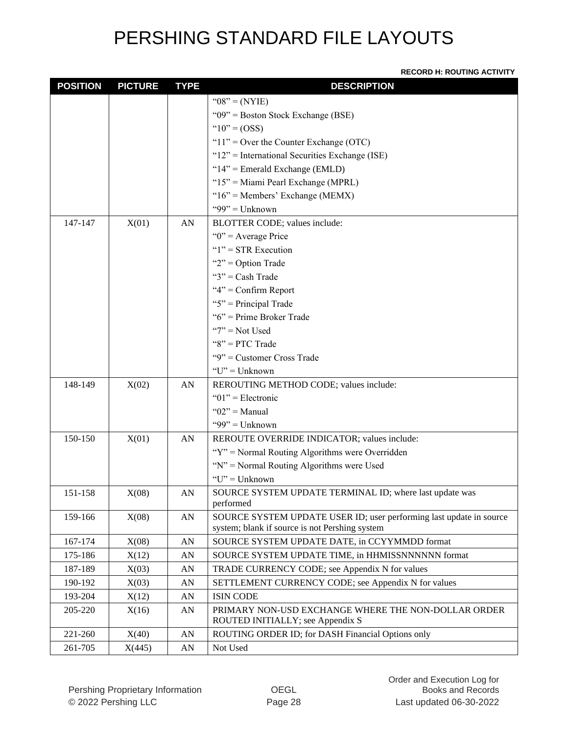#### **RECORD H: ROUTING ACTIVITY**

| <b>POSITION</b> | <b>PICTURE</b> | <b>TYPE</b>      | <b>DESCRIPTION</b>                                                                      |
|-----------------|----------------|------------------|-----------------------------------------------------------------------------------------|
|                 |                |                  | " $08" = (NYIE)$                                                                        |
|                 |                |                  | " $09$ " = Boston Stock Exchange (BSE)                                                  |
|                 |                |                  | " $10" = (OSS)$                                                                         |
|                 |                |                  | " $11$ " = Over the Counter Exchange (OTC)                                              |
|                 |                |                  | " $12$ " = International Securities Exchange (ISE)                                      |
|                 |                |                  | " $14$ " = Emerald Exchange (EMLD)                                                      |
|                 |                |                  | " $15$ " = Miami Pearl Exchange (MPRL)                                                  |
|                 |                |                  | " $16$ " = Members' Exchange (MEMX)                                                     |
|                 |                |                  | "99" = Unknown                                                                          |
| 147-147         | X(01)          | AN               | BLOTTER CODE; values include:                                                           |
|                 |                |                  | " $0$ " = Average Price                                                                 |
|                 |                |                  | " $1$ " = STR Execution                                                                 |
|                 |                |                  | " $2"$ = Option Trade                                                                   |
|                 |                |                  | " $3$ " = Cash Trade                                                                    |
|                 |                |                  | " $4$ " = Confirm Report                                                                |
|                 |                |                  | " $5$ " = Principal Trade                                                               |
|                 |                |                  | " $6$ " = Prime Broker Trade                                                            |
|                 |                |                  | " $7"$ = Not Used                                                                       |
|                 |                |                  | " $8"$ = PTC Trade                                                                      |
|                 |                |                  | "9" = Customer Cross Trade                                                              |
|                 |                |                  | "U" = Unknown                                                                           |
| 148-149         | X(02)          | AN               | REROUTING METHOD CODE; values include:                                                  |
|                 |                |                  | " $01$ " = Electronic                                                                   |
|                 |                |                  | " $02$ " = Manual                                                                       |
|                 |                |                  | "99" = $Unknown$                                                                        |
| 150-150         | X(01)          | AN               | REROUTE OVERRIDE INDICATOR; values include:                                             |
|                 |                |                  | "Y" = Normal Routing Algorithms were Overridden                                         |
|                 |                |                  | " $N$ " = Normal Routing Algorithms were Used                                           |
|                 |                |                  | " $U$ " = Unknown"                                                                      |
| 151-158         | X(08)          | AN               | SOURCE SYSTEM UPDATE TERMINAL ID; where last update was                                 |
|                 |                |                  | performed                                                                               |
| 159-166         | X(08)          | AN               | SOURCE SYSTEM UPDATE USER ID; user performing last update in source                     |
|                 |                |                  | system; blank if source is not Pershing system                                          |
| 167-174         | X(08)          | AN               | SOURCE SYSTEM UPDATE DATE, in CCYYMMDD format                                           |
| 175-186         | X(12)          | AN               | SOURCE SYSTEM UPDATE TIME, in HHMISSNNNNNN format                                       |
| 187-189         | X(03)          | AN               | TRADE CURRENCY CODE; see Appendix N for values                                          |
| 190-192         | X(03)          | AN               | SETTLEMENT CURRENCY CODE; see Appendix N for values                                     |
| 193-204         | X(12)          | AN               | <b>ISIN CODE</b>                                                                        |
| 205-220         | X(16)          | AN               | PRIMARY NON-USD EXCHANGE WHERE THE NON-DOLLAR ORDER<br>ROUTED INITIALLY; see Appendix S |
| 221-260         | X(40)          | ${\bf A}{\bf N}$ | ROUTING ORDER ID; for DASH Financial Options only                                       |
| 261-705         | X(445)         | AN               | Not Used                                                                                |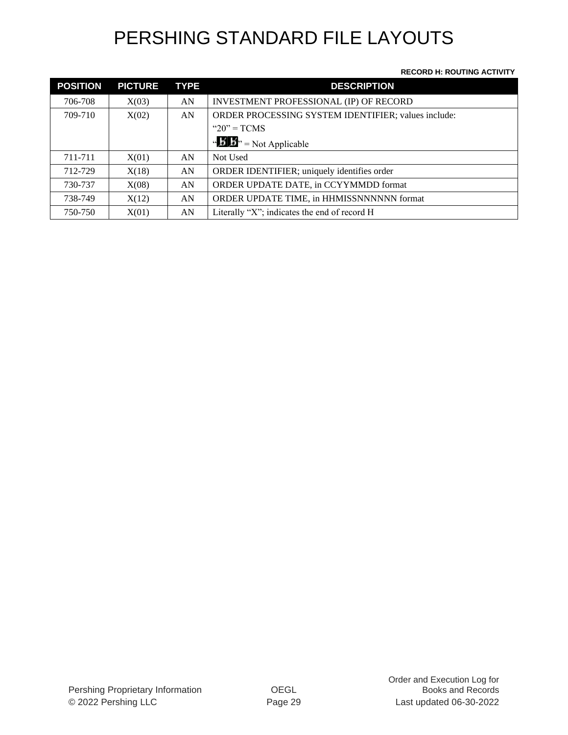#### **RECORD H: ROUTING ACTIVITY**

| <b>POSITION</b> | <b>PICTURE</b> | <b>TYPE</b> | <b>DESCRIPTION</b>                                  |
|-----------------|----------------|-------------|-----------------------------------------------------|
| 706-708         | X(03)          | AN          | INVESTMENT PROFESSIONAL (IP) OF RECORD              |
| 709-710         | X(02)          | AN          | ORDER PROCESSING SYSTEM IDENTIFIER; values include: |
|                 |                |             | " $20$ " = TCMS                                     |
|                 |                |             | " $\mathbf{B}$ ", = Not Applicable                  |
| 711-711         | X(01)          | AN          | Not Used                                            |
| 712-729         | X(18)          | AN          | ORDER IDENTIFIER; uniquely identifies order         |
| 730-737         | X(08)          | AN          | ORDER UPDATE DATE, in CCYYMMDD format               |
| 738-749         | X(12)          | AN          | ORDER UPDATE TIME, in HHMISSNNNNNN format           |
| 750-750         | X(01)          | AN          | Literally "X"; indicates the end of record H        |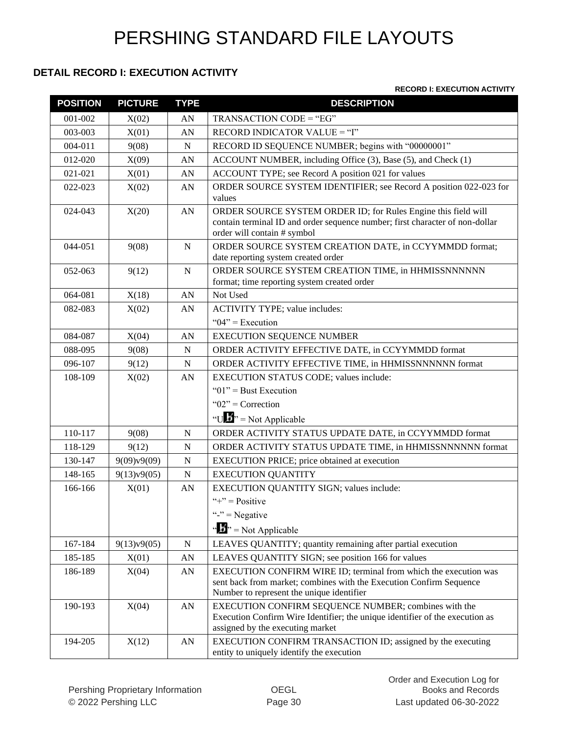#### **DETAIL RECORD I: EXECUTION ACTIVITY**

#### **RECORD I: EXECUTION ACTIVITY**

| <b>POSITION</b> | <b>PICTURE</b> | <b>TYPE</b>      | <b>DESCRIPTION</b>                                                                                                                                                                   |
|-----------------|----------------|------------------|--------------------------------------------------------------------------------------------------------------------------------------------------------------------------------------|
| 001-002         | X(02)          | AN               | TRANSACTION CODE = "EG"                                                                                                                                                              |
| 003-003         | X(01)          | AN               | RECORD INDICATOR VALUE = "I"                                                                                                                                                         |
| $004 - 011$     | 9(08)          | N                | RECORD ID SEQUENCE NUMBER; begins with "00000001"                                                                                                                                    |
| 012-020         | X(09)          | AN               | ACCOUNT NUMBER, including Office (3), Base (5), and Check (1)                                                                                                                        |
| 021-021         | X(01)          | AN               | ACCOUNT TYPE; see Record A position 021 for values                                                                                                                                   |
| 022-023         | X(02)          | AN               | ORDER SOURCE SYSTEM IDENTIFIER; see Record A position 022-023 for<br>values                                                                                                          |
| 024-043         | X(20)          | ${\bf A}{\bf N}$ | ORDER SOURCE SYSTEM ORDER ID; for Rules Engine this field will<br>contain terminal ID and order sequence number; first character of non-dollar<br>order will contain # symbol        |
| 044-051         | 9(08)          | ${\bf N}$        | ORDER SOURCE SYSTEM CREATION DATE, in CCYYMMDD format;<br>date reporting system created order                                                                                        |
| 052-063         | 9(12)          | $\mathbf N$      | ORDER SOURCE SYSTEM CREATION TIME, in HHMISSNNNNNN<br>format; time reporting system created order                                                                                    |
| 064-081         | X(18)          | ${\bf A}{\bf N}$ | Not Used                                                                                                                                                                             |
| 082-083         | X(02)          | AN               | <b>ACTIVITY TYPE; value includes:</b>                                                                                                                                                |
|                 |                |                  | " $04$ " = Execution                                                                                                                                                                 |
| 084-087         | X(04)          | AN               | <b>EXECUTION SEQUENCE NUMBER</b>                                                                                                                                                     |
| 088-095         | 9(08)          | ${\bf N}$        | ORDER ACTIVITY EFFECTIVE DATE, in CCYYMMDD format                                                                                                                                    |
| 096-107         | 9(12)          | N                | ORDER ACTIVITY EFFECTIVE TIME, in HHMISSNNNNNN format                                                                                                                                |
| 108-109         | X(02)          | ${\bf A}{\bf N}$ | EXECUTION STATUS CODE; values include:                                                                                                                                               |
|                 |                |                  | " $01$ " = Bust Execution                                                                                                                                                            |
|                 |                |                  | " $02$ " = Correction                                                                                                                                                                |
|                 |                |                  | "U $\mathbf{B}$ " = Not Applicable                                                                                                                                                   |
| 110-117         | 9(08)          | ${\bf N}$        | ORDER ACTIVITY STATUS UPDATE DATE, in CCYYMMDD format                                                                                                                                |
| 118-129         | 9(12)          | N                | ORDER ACTIVITY STATUS UPDATE TIME, in HHMISSNNNNNN format                                                                                                                            |
| 130-147         | 9(09)v9(09)    | $\mathbf N$      | EXECUTION PRICE; price obtained at execution                                                                                                                                         |
| 148-165         | 9(13)v9(05)    | $\mathbf N$      | <b>EXECUTION QUANTITY</b>                                                                                                                                                            |
| 166-166         | X(01)          | AN               | EXECUTION QUANTITY SIGN; values include:                                                                                                                                             |
|                 |                |                  | "+" = $Positive$                                                                                                                                                                     |
|                 |                |                  | "-" $=$ Negative                                                                                                                                                                     |
|                 |                |                  | " $\frac{1}{2}$ " = Not Applicable                                                                                                                                                   |
| 167-184         | 9(13)v9(05)    | ${\bf N}$        | LEAVES QUANTITY; quantity remaining after partial execution                                                                                                                          |
| 185-185         | X(01)          | AN               | LEAVES QUANTITY SIGN; see position 166 for values                                                                                                                                    |
| 186-189         | X(04)          | ${\rm AN}$       | EXECUTION CONFIRM WIRE ID; terminal from which the execution was<br>sent back from market; combines with the Execution Confirm Sequence<br>Number to represent the unique identifier |
| 190-193         | X(04)          | AN               | EXECUTION CONFIRM SEQUENCE NUMBER; combines with the<br>Execution Confirm Wire Identifier; the unique identifier of the execution as<br>assigned by the executing market             |
| 194-205         | X(12)          | ${\bf A}{\bf N}$ | EXECUTION CONFIRM TRANSACTION ID; assigned by the executing<br>entity to uniquely identify the execution                                                                             |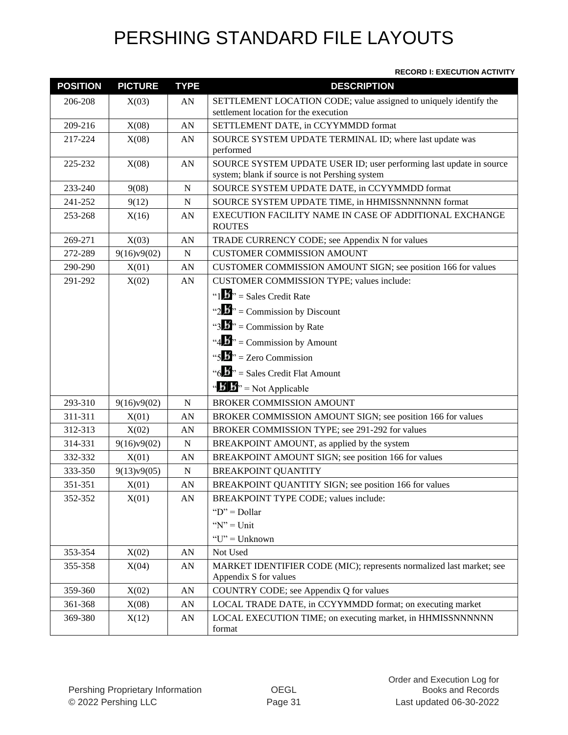#### **RECORD I: EXECUTION ACTIVITY**

| <b>POSITION</b> | <b>PICTURE</b> | <b>TYPE</b> | <b>DESCRIPTION</b>                                                                                                    |  |
|-----------------|----------------|-------------|-----------------------------------------------------------------------------------------------------------------------|--|
| 206-208         | X(03)          | AN          | SETTLEMENT LOCATION CODE; value assigned to uniquely identify the                                                     |  |
|                 |                |             | settlement location for the execution                                                                                 |  |
| 209-216         | X(08)          | AN          | SETTLEMENT DATE, in CCYYMMDD format                                                                                   |  |
| 217-224         | X(08)          | AN          | SOURCE SYSTEM UPDATE TERMINAL ID; where last update was<br>performed                                                  |  |
| 225-232         | X(08)          | AN          | SOURCE SYSTEM UPDATE USER ID; user performing last update in source<br>system; blank if source is not Pershing system |  |
| 233-240         | 9(08)          | N           | SOURCE SYSTEM UPDATE DATE, in CCYYMMDD format                                                                         |  |
| 241-252         | 9(12)          | N           | SOURCE SYSTEM UPDATE TIME, in HHMISSNNNNNN format                                                                     |  |
| 253-268         | X(16)          | AN          | EXECUTION FACILITY NAME IN CASE OF ADDITIONAL EXCHANGE<br><b>ROUTES</b>                                               |  |
| 269-271         | X(03)          | AN          | TRADE CURRENCY CODE; see Appendix N for values                                                                        |  |
| 272-289         | 9(16)v9(02)    | N           | <b>CUSTOMER COMMISSION AMOUNT</b>                                                                                     |  |
| 290-290         | X(01)          | AN          | CUSTOMER COMMISSION AMOUNT SIGN; see position 166 for values                                                          |  |
| 291-292         | X(02)          | AN          | CUSTOMER COMMISSION TYPE; values include:                                                                             |  |
|                 |                |             | " $1 \cdot 5$ " = Sales Credit Rate                                                                                   |  |
|                 |                |             | "2.5" = Commission by Discount                                                                                        |  |
|                 |                |             | "3. $\mathbf{S}$ " = Commission by Rate                                                                               |  |
|                 |                |             | "4.5" = Commission by Amount                                                                                          |  |
|                 |                |             | "5 $\mathbf{B}$ " = Zero Commission                                                                                   |  |
|                 |                |             | " $6 \cdot 6$ " = Sales Credit Flat Amount                                                                            |  |
|                 |                |             | " $\mathbf{B}$ " = Not Applicable                                                                                     |  |
| 293-310         | 9(16)y9(02)    | N           | <b>BROKER COMMISSION AMOUNT</b>                                                                                       |  |
| 311-311         | X(01)          | AN          | BROKER COMMISSION AMOUNT SIGN; see position 166 for values                                                            |  |
| 312-313         | X(02)          | AN          | BROKER COMMISSION TYPE; see 291-292 for values                                                                        |  |
| 314-331         | 9(16)v9(02)    | N           | BREAKPOINT AMOUNT, as applied by the system                                                                           |  |
| 332-332         | X(01)          | AN          | BREAKPOINT AMOUNT SIGN; see position 166 for values                                                                   |  |
| 333-350         | 9(13)v9(05)    | $\mathbf N$ | <b>BREAKPOINT QUANTITY</b>                                                                                            |  |
| 351-351         | X(01)          | AN          | BREAKPOINT QUANTITY SIGN; see position 166 for values                                                                 |  |
| 352-352         | X(01)          | AN          | BREAKPOINT TYPE CODE; values include:                                                                                 |  |
|                 |                |             | " $D$ " = Dollar                                                                                                      |  |
|                 |                |             | " $N$ " = Unit                                                                                                        |  |
|                 |                |             | $"U"$ = Unknown                                                                                                       |  |
| 353-354         | X(02)          | AN          | Not Used                                                                                                              |  |
| 355-358         | X(04)          | AN          | MARKET IDENTIFIER CODE (MIC); represents normalized last market; see<br>Appendix S for values                         |  |
| 359-360         | X(02)          | ${\rm AN}$  | COUNTRY CODE; see Appendix Q for values                                                                               |  |
| 361-368         | X(08)          | AN          | LOCAL TRADE DATE, in CCYYMMDD format; on executing market                                                             |  |
| 369-380         | X(12)          | AN          | LOCAL EXECUTION TIME; on executing market, in HHMISSNNNNNN<br>format                                                  |  |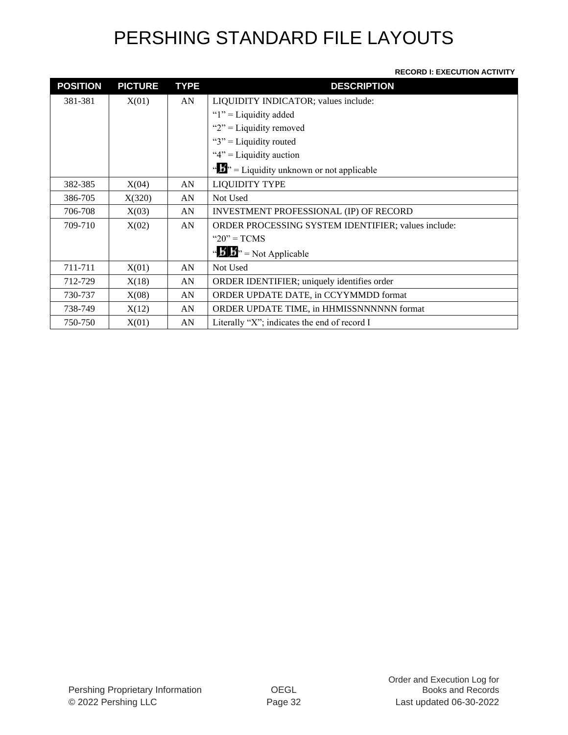#### **RECORD I: EXECUTION ACTIVITY**

| <b>POSITION</b> | <b>PICTURE</b> | <b>TYPE</b> | <b>DESCRIPTION</b>                                     |
|-----------------|----------------|-------------|--------------------------------------------------------|
| 381-381         | X(01)          | AN          | LIQUIDITY INDICATOR; values include:                   |
|                 |                |             | " $1$ " = Liquidity added                              |
|                 |                |             | " $2$ " = Liquidity removed                            |
|                 |                |             | " $3$ " = Liquidity routed                             |
|                 |                |             | " $4$ " = Liquidity auction                            |
|                 |                |             | " $\mathbf{L}$ " = Liquidity unknown or not applicable |
| 382-385         | X(04)          | AN          | <b>LIQUIDITY TYPE</b>                                  |
| 386-705         | X(320)         | AN          | Not Used                                               |
| 706-708         | X(03)          | AN          | <b>INVESTMENT PROFESSIONAL (IP) OF RECORD</b>          |
| 709-710         | X(02)          | AN          | ORDER PROCESSING SYSTEM IDENTIFIER; values include:    |
|                 |                |             | " $20$ " = TCMS                                        |
|                 |                |             | " $\mathbf{B}$ " = Not Applicable                      |
| 711-711         | X(01)          | AN          | Not Used                                               |
| 712-729         | X(18)          | AN          | ORDER IDENTIFIER; uniquely identifies order            |
| 730-737         | X(08)          | AN          | ORDER UPDATE DATE, in CCYYMMDD format                  |
| 738-749         | X(12)          | AN          | ORDER UPDATE TIME, in HHMISSNNNNNN format              |
| 750-750         | X(01)          | AN          | Literally "X"; indicates the end of record I           |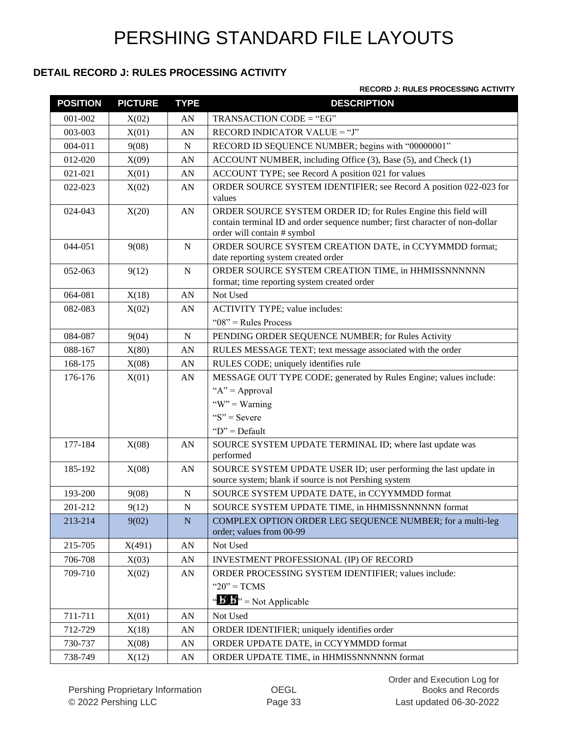#### **DETAIL RECORD J: RULES PROCESSING ACTIVITY**

|  |  | <b>RECORD J: RULES PROCESSING ACTIVITY</b> |  |
|--|--|--------------------------------------------|--|
|--|--|--------------------------------------------|--|

| <b>POSITION</b> | <b>PICTURE</b> | <b>TYPE</b>      | <b>DESCRIPTION</b>                                                                                                                                                            |
|-----------------|----------------|------------------|-------------------------------------------------------------------------------------------------------------------------------------------------------------------------------|
| 001-002         | X(02)          | AN               | TRANSACTION CODE = "EG"                                                                                                                                                       |
| 003-003         | X(01)          | AN               | RECORD INDICATOR VALUE = "J"                                                                                                                                                  |
| 004-011         | 9(08)          | $\mathbf N$      | RECORD ID SEQUENCE NUMBER; begins with "00000001"                                                                                                                             |
| 012-020         | X(09)          | AN               | ACCOUNT NUMBER, including Office (3), Base (5), and Check (1)                                                                                                                 |
| 021-021         | X(01)          | AN               | ACCOUNT TYPE; see Record A position 021 for values                                                                                                                            |
| 022-023         | X(02)          | AN               | ORDER SOURCE SYSTEM IDENTIFIER; see Record A position 022-023 for<br>values                                                                                                   |
| 024-043         | X(20)          | AN               | ORDER SOURCE SYSTEM ORDER ID; for Rules Engine this field will<br>contain terminal ID and order sequence number; first character of non-dollar<br>order will contain # symbol |
| 044-051         | 9(08)          | ${\bf N}$        | ORDER SOURCE SYSTEM CREATION DATE, in CCYYMMDD format;<br>date reporting system created order                                                                                 |
| 052-063         | 9(12)          | $\mathbf N$      | ORDER SOURCE SYSTEM CREATION TIME, in HHMISSNNNNNN<br>format; time reporting system created order                                                                             |
| 064-081         | X(18)          | AN               | Not Used                                                                                                                                                                      |
| 082-083         | X(02)          | AN               | ACTIVITY TYPE; value includes:                                                                                                                                                |
|                 |                |                  | " $08$ " = Rules Process                                                                                                                                                      |
| 084-087         | 9(04)          | N                | PENDING ORDER SEQUENCE NUMBER; for Rules Activity                                                                                                                             |
| 088-167         | X(80)          | AN               | RULES MESSAGE TEXT; text message associated with the order                                                                                                                    |
| 168-175         | X(08)          | AN               | RULES CODE; uniquely identifies rule                                                                                                                                          |
| 176-176         | X(01)          | AN               | MESSAGE OUT TYPE CODE; generated by Rules Engine; values include:                                                                                                             |
|                 |                |                  | " $A$ " = Approval                                                                                                                                                            |
|                 |                |                  | "W" = Warning                                                                                                                                                                 |
|                 |                |                  | " $S$ " = Severe                                                                                                                                                              |
|                 |                |                  | " $D$ " = Default                                                                                                                                                             |
| 177-184         | X(08)          | AN               | SOURCE SYSTEM UPDATE TERMINAL ID; where last update was<br>performed                                                                                                          |
| 185-192         | X(08)          | AN               | SOURCE SYSTEM UPDATE USER ID; user performing the last update in<br>source system; blank if source is not Pershing system                                                     |
| 193-200         | 9(08)          | ${\bf N}$        | SOURCE SYSTEM UPDATE DATE, in CCYYMMDD format                                                                                                                                 |
| 201-212         | 9(12)          | ${\bf N}$        | SOURCE SYSTEM UPDATE TIME, in HHMISSNNNNNN format                                                                                                                             |
| 213-214         | 9(02)          | ${\bf N}$        | COMPLEX OPTION ORDER LEG SEQUENCE NUMBER; for a multi-leg<br>order; values from 00-99                                                                                         |
| 215-705         | X(491)         | AN               | Not Used                                                                                                                                                                      |
| 706-708         | X(03)          | AN               | <b>INVESTMENT PROFESSIONAL (IP) OF RECORD</b>                                                                                                                                 |
| 709-710         | X(02)          | AN               | ORDER PROCESSING SYSTEM IDENTIFIER; values include:                                                                                                                           |
|                 |                |                  | " $20$ " = TCMS                                                                                                                                                               |
|                 |                |                  | " $\mathbf{B}$ " = Not Applicable                                                                                                                                             |
| 711-711         | X(01)          | AN               | Not Used                                                                                                                                                                      |
| 712-729         | X(18)          | AN               | ORDER IDENTIFIER; uniquely identifies order                                                                                                                                   |
| 730-737         | X(08)          | AN               | ORDER UPDATE DATE, in CCYYMMDD format                                                                                                                                         |
| 738-749         | X(12)          | ${\bf A}{\bf N}$ | ORDER UPDATE TIME, in HHMISSNNNNNN format                                                                                                                                     |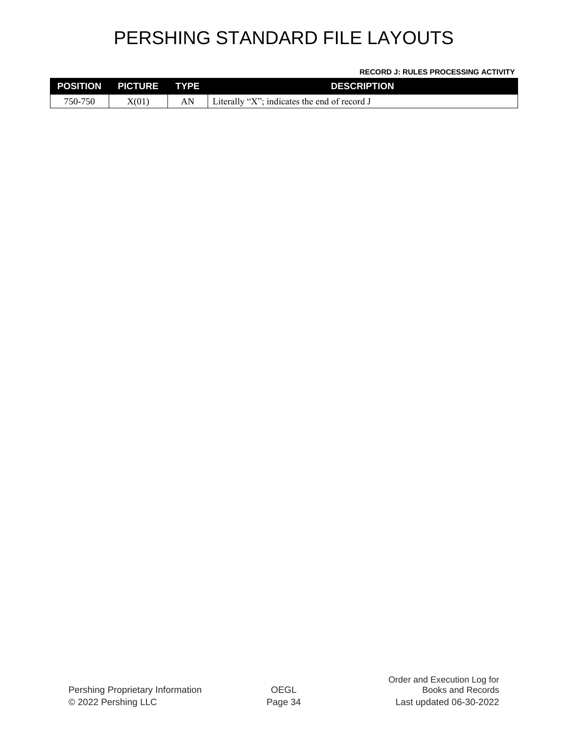#### **RECORD J: RULES PROCESSING ACTIVITY**

| <b>POSITION</b> | <b>PICTURE</b> | <b>TYPE</b> | <b>DESCRIPTION</b>                             |
|-----------------|----------------|-------------|------------------------------------------------|
| 750-750         | X(01)          | AN          | Literally "X"; indicates the end of record $J$ |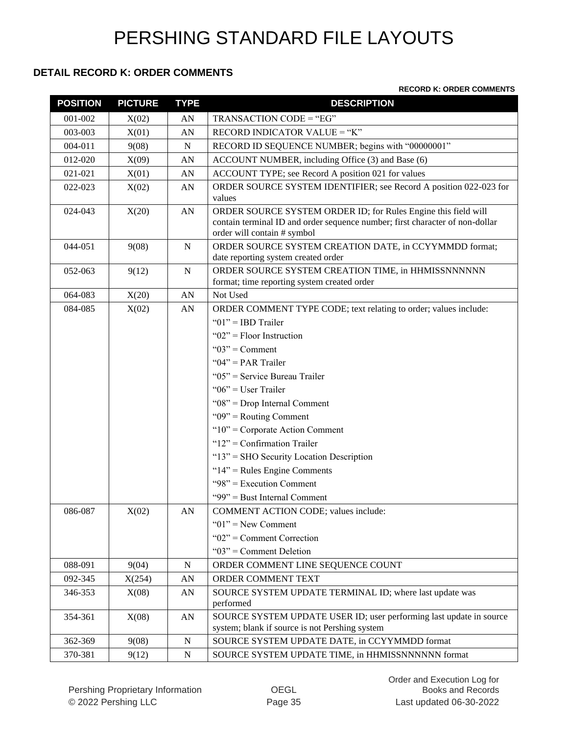#### **DETAIL RECORD K: ORDER COMMENTS**

#### **RECORD K: ORDER COMMENTS**

| <b>POSITION</b> | <b>PICTURE</b> | <b>TYPE</b> | <b>DESCRIPTION</b>                                                                                                                                                            |  |
|-----------------|----------------|-------------|-------------------------------------------------------------------------------------------------------------------------------------------------------------------------------|--|
| 001-002         | X(02)          | AN          | TRANSACTION CODE = "EG"                                                                                                                                                       |  |
| 003-003         | X(01)          | AN          | RECORD INDICATOR VALUE = "K"                                                                                                                                                  |  |
| 004-011         | 9(08)          | N           | RECORD ID SEQUENCE NUMBER; begins with "00000001"                                                                                                                             |  |
| 012-020         | X(09)          | AN          | ACCOUNT NUMBER, including Office (3) and Base (6)                                                                                                                             |  |
| 021-021         | X(01)          | AN          | ACCOUNT TYPE; see Record A position 021 for values                                                                                                                            |  |
| 022-023         | X(02)          | AN          | ORDER SOURCE SYSTEM IDENTIFIER; see Record A position 022-023 for<br>values                                                                                                   |  |
| 024-043         | X(20)          | AN          | ORDER SOURCE SYSTEM ORDER ID; for Rules Engine this field will<br>contain terminal ID and order sequence number; first character of non-dollar<br>order will contain # symbol |  |
| 044-051         | 9(08)          | ${\bf N}$   | ORDER SOURCE SYSTEM CREATION DATE, in CCYYMMDD format;<br>date reporting system created order                                                                                 |  |
| 052-063         | 9(12)          | N           | ORDER SOURCE SYSTEM CREATION TIME, in HHMISSNNNNNN<br>format; time reporting system created order                                                                             |  |
| 064-083         | X(20)          | AN          | Not Used                                                                                                                                                                      |  |
| 084-085         | X(02)          | AN          | ORDER COMMENT TYPE CODE; text relating to order; values include:                                                                                                              |  |
|                 |                |             | " $01$ " = IBD Trailer                                                                                                                                                        |  |
|                 |                |             | " $02$ " = Floor Instruction                                                                                                                                                  |  |
|                 |                |             | " $03$ " = Comment                                                                                                                                                            |  |
|                 |                |             | " $04$ " = PAR Trailer                                                                                                                                                        |  |
|                 |                |             | " $05$ " = Service Bureau Trailer                                                                                                                                             |  |
|                 |                |             | " $06$ " = User Trailer                                                                                                                                                       |  |
|                 |                |             | " $08$ " = Drop Internal Comment                                                                                                                                              |  |
|                 |                |             | " $09$ " = Routing Comment                                                                                                                                                    |  |
|                 |                |             | " $10$ " = Corporate Action Comment                                                                                                                                           |  |
|                 |                |             | " $12"$ = Confirmation Trailer                                                                                                                                                |  |
|                 |                |             | "13" = SHO Security Location Description                                                                                                                                      |  |
|                 |                |             | " $14$ " = Rules Engine Comments                                                                                                                                              |  |
|                 |                |             | "98" = Execution Comment                                                                                                                                                      |  |
|                 |                |             | "99" = Bust Internal Comment                                                                                                                                                  |  |
| 086-087         | X(02)          | AN          | COMMENT ACTION CODE; values include:                                                                                                                                          |  |
|                 |                |             | " $01$ " = New Comment                                                                                                                                                        |  |
|                 |                |             | " $02$ " = Comment Correction                                                                                                                                                 |  |
|                 |                |             | " $03$ " = Comment Deletion                                                                                                                                                   |  |
| 088-091         | 9(04)          | N           | ORDER COMMENT LINE SEQUENCE COUNT                                                                                                                                             |  |
| 092-345         | X(254)         | AN          | ORDER COMMENT TEXT                                                                                                                                                            |  |
| 346-353         | X(08)          | AN          | SOURCE SYSTEM UPDATE TERMINAL ID; where last update was<br>performed                                                                                                          |  |
| 354-361         | X(08)          | AN          | SOURCE SYSTEM UPDATE USER ID; user performing last update in source<br>system; blank if source is not Pershing system                                                         |  |
| 362-369         | 9(08)          | ${\bf N}$   | SOURCE SYSTEM UPDATE DATE, in CCYYMMDD format                                                                                                                                 |  |
| 370-381         | 9(12)          | ${\bf N}$   | SOURCE SYSTEM UPDATE TIME, in HHMISSNNNNNN format                                                                                                                             |  |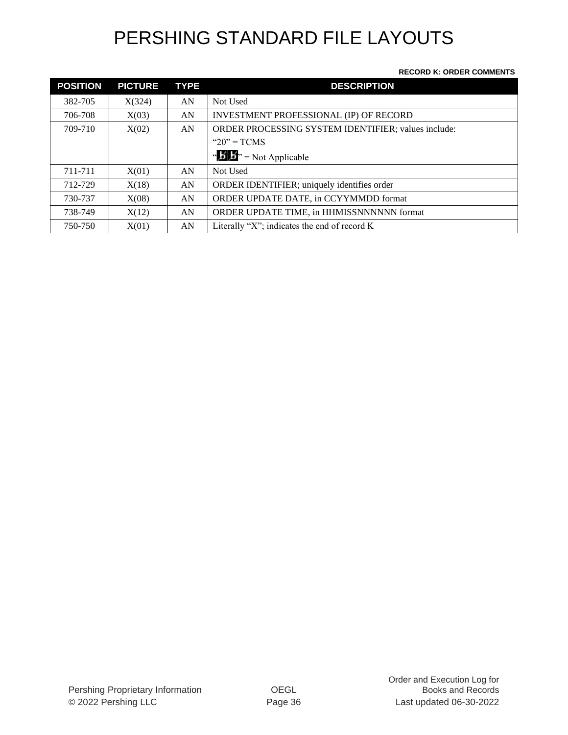#### **RECORD K: ORDER COMMENTS**

| <b>POSITION</b> | <b>PICTURE</b> | <b>TYPE</b> | <b>DESCRIPTION</b>                                  |
|-----------------|----------------|-------------|-----------------------------------------------------|
| 382-705         | X(324)         | AN          | Not Used                                            |
| 706-708         | X(03)          | AN          | INVESTMENT PROFESSIONAL (IP) OF RECORD              |
| 709-710         | X(02)          | AN          | ORDER PROCESSING SYSTEM IDENTIFIER; values include: |
|                 |                |             | " $20" = TCMS$                                      |
|                 |                |             | " $\mathbf{B}$ " = Not Applicable                   |
| 711-711         | X(01)          | AN          | Not Used                                            |
| 712-729         | X(18)          | AN          | ORDER IDENTIFIER; uniquely identifies order         |
| 730-737         | X(08)          | AN          | ORDER UPDATE DATE, in CCYYMMDD format               |
| 738-749         | X(12)          | AN          | ORDER UPDATE TIME, in HHMISSNNNNNN format           |
| 750-750         | X(01)          | AN          | Literally "X"; indicates the end of record K        |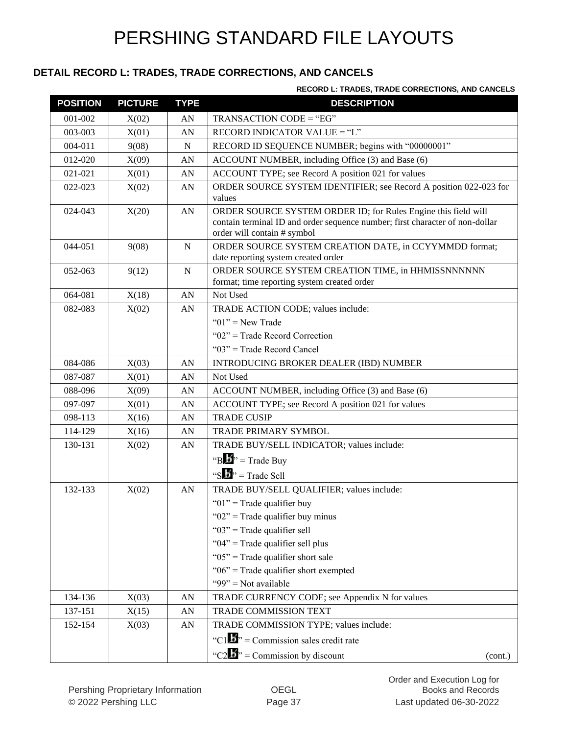### **DETAIL RECORD L: TRADES, TRADE CORRECTIONS, AND CANCELS**

#### **RECORD L: TRADES, TRADE CORRECTIONS, AND CANCELS**

| <b>POSITION</b> | <b>PICTURE</b> | <b>TYPE</b> | <b>DESCRIPTION</b>                                                                                                                                                            |  |
|-----------------|----------------|-------------|-------------------------------------------------------------------------------------------------------------------------------------------------------------------------------|--|
| 001-002         | X(02)          | AN          | TRANSACTION CODE = "EG"                                                                                                                                                       |  |
| 003-003         | X(01)          | AN          | RECORD INDICATOR VALUE = "L"                                                                                                                                                  |  |
| 004-011         | 9(08)          | N           | RECORD ID SEQUENCE NUMBER; begins with "00000001"                                                                                                                             |  |
| 012-020         | X(09)          | AN          | ACCOUNT NUMBER, including Office (3) and Base (6)                                                                                                                             |  |
| 021-021         | X(01)          | AN          | ACCOUNT TYPE; see Record A position 021 for values                                                                                                                            |  |
| 022-023         | X(02)          | AN          | ORDER SOURCE SYSTEM IDENTIFIER; see Record A position 022-023 for<br>values                                                                                                   |  |
| 024-043         | X(20)          | AN          | ORDER SOURCE SYSTEM ORDER ID; for Rules Engine this field will<br>contain terminal ID and order sequence number; first character of non-dollar<br>order will contain # symbol |  |
| 044-051         | 9(08)          | N           | ORDER SOURCE SYSTEM CREATION DATE, in CCYYMMDD format;<br>date reporting system created order                                                                                 |  |
| 052-063         | 9(12)          | ${\bf N}$   | ORDER SOURCE SYSTEM CREATION TIME, in HHMISSNNNNNN<br>format; time reporting system created order                                                                             |  |
| 064-081         | X(18)          | AN          | Not Used                                                                                                                                                                      |  |
| 082-083         | X(02)          | AN          | TRADE ACTION CODE; values include:                                                                                                                                            |  |
|                 |                |             | " $01$ " = New Trade                                                                                                                                                          |  |
|                 |                |             | " $02$ " = Trade Record Correction                                                                                                                                            |  |
|                 |                |             | " $03$ " = Trade Record Cancel                                                                                                                                                |  |
| 084-086         | X(03)          | AN          | <b>INTRODUCING BROKER DEALER (IBD) NUMBER</b>                                                                                                                                 |  |
| 087-087         | X(01)          | AN          | Not Used                                                                                                                                                                      |  |
| 088-096         | X(09)          | AN          | ACCOUNT NUMBER, including Office (3) and Base (6)                                                                                                                             |  |
| 097-097         | X(01)          | AN          | ACCOUNT TYPE; see Record A position 021 for values                                                                                                                            |  |
| 098-113         | X(16)          | AN          | <b>TRADE CUSIP</b>                                                                                                                                                            |  |
| 114-129         | X(16)          | AN          | TRADE PRIMARY SYMBOL                                                                                                                                                          |  |
| 130-131         | X(02)          | AN          | TRADE BUY/SELL INDICATOR; values include:                                                                                                                                     |  |
|                 |                |             | "B" = Trade Buy                                                                                                                                                               |  |
|                 |                |             | "S $\mathbf{B}$ " = Trade Sell                                                                                                                                                |  |
| 132-133         | X(02)          | AN          | TRADE BUY/SELL QUALIFIER; values include:                                                                                                                                     |  |
|                 |                |             | " $01$ " = Trade qualifier buy                                                                                                                                                |  |
|                 |                |             | " $02$ " = Trade qualifier buy minus                                                                                                                                          |  |
|                 |                |             | " $03$ " = Trade qualifier sell                                                                                                                                               |  |
|                 |                |             | " $04$ " = Trade qualifier sell plus                                                                                                                                          |  |
|                 |                |             | " $05$ " = Trade qualifier short sale                                                                                                                                         |  |
|                 |                |             | "06" = Trade qualifier short exempted                                                                                                                                         |  |
|                 |                |             | "99" = Not available                                                                                                                                                          |  |
| 134-136         | X(03)          | AN          | TRADE CURRENCY CODE; see Appendix N for values                                                                                                                                |  |
| 137-151         | X(15)          | AN          | <b>TRADE COMMISSION TEXT</b>                                                                                                                                                  |  |
| 152-154         | X(03)          | AN          | TRADE COMMISSION TYPE; values include:                                                                                                                                        |  |
|                 |                |             | "C1 $\mathbf{L}$ " = Commission sales credit rate                                                                                                                             |  |
|                 |                |             | "C2 $\mathbf{L}$ " = Commission by discount<br>(cont.)                                                                                                                        |  |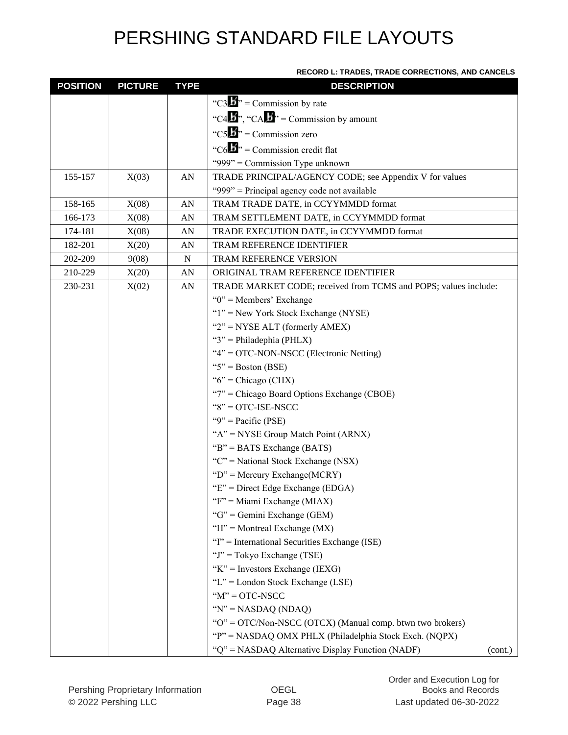#### **RECORD L: TRADES, TRADE CORRECTIONS, AND CANCELS**

| <b>POSITION</b> | <b>PICTURE</b> | <b>TYPE</b> | <b>DESCRIPTION</b>                                              |         |
|-----------------|----------------|-------------|-----------------------------------------------------------------|---------|
|                 |                |             | "C3 $\mathbf{J}$ " = Commission by rate                         |         |
|                 |                |             | "C4 $\mathbf{B}$ ", "CA $\mathbf{B}$ " = Commission by amount   |         |
|                 |                |             | "C5 $\mathbf{B}$ " = Commission zero                            |         |
|                 |                |             | "C6 $\mathbf{L}$ " = Commission credit flat                     |         |
|                 |                |             | "999" = Commission Type unknown                                 |         |
| 155-157         | X(03)          | AN          | TRADE PRINCIPAL/AGENCY CODE; see Appendix V for values          |         |
|                 |                |             | "999" = Principal agency code not available                     |         |
| 158-165         | X(08)          | AN          | TRAM TRADE DATE, in CCYYMMDD format                             |         |
| 166-173         | X(08)          | AN          | TRAM SETTLEMENT DATE, in CCYYMMDD format                        |         |
| 174-181         | X(08)          | AN          | TRADE EXECUTION DATE, in CCYYMMDD format                        |         |
| 182-201         | X(20)          | AN          | TRAM REFERENCE IDENTIFIER                                       |         |
| 202-209         | 9(08)          | ${\bf N}$   | TRAM REFERENCE VERSION                                          |         |
| 210-229         | X(20)          | AN          | ORIGINAL TRAM REFERENCE IDENTIFIER                              |         |
| 230-231         | X(02)          | AN          | TRADE MARKET CODE; received from TCMS and POPS; values include: |         |
|                 |                |             | " $0$ " = Members' Exchange                                     |         |
|                 |                |             | " $1$ " = New York Stock Exchange (NYSE)                        |         |
|                 |                |             | " $2$ " = NYSE ALT (formerly AMEX)                              |         |
|                 |                |             | " $3$ " = Philadephia (PHLX)                                    |         |
|                 |                |             | "4" = OTC-NON-NSCC (Electronic Netting)                         |         |
|                 |                |             | " $5$ " = Boston (BSE)                                          |         |
|                 |                |             | " $6$ " = Chicago (CHX)                                         |         |
|                 |                |             | "7" = Chicago Board Options Exchange (CBOE)                     |         |
|                 |                |             | $"8" = OTC-ISE-NSCC$                                            |         |
|                 |                |             | "9" = Pacific (PSE)                                             |         |
|                 |                |             | " $A$ " = NYSE Group Match Point (ARNX)                         |         |
|                 |                |             | " $B$ " = BATS Exchange (BATS)                                  |         |
|                 |                |             | " $C$ " = National Stock Exchange (NSX)                         |         |
|                 |                |             | "D" = Mercury Exchange( $MCRY$ )                                |         |
|                 |                |             | " $E$ " = Direct Edge Exchange (EDGA)                           |         |
|                 |                |             | "F" = Miami Exchange (MIAX)                                     |         |
|                 |                |             | " $G$ " = Gemini Exchange (GEM)                                 |         |
|                 |                |             | "H" = Montreal Exchange ( $MX$ )                                |         |
|                 |                |             | "I" = International Securities Exchange (ISE)                   |         |
|                 |                |             | "J" = Tokyo Exchange (TSE)                                      |         |
|                 |                |             | "K" = Investors Exchange (IEXG)                                 |         |
|                 |                |             | "L" = London Stock Exchange (LSE)                               |         |
|                 |                |             | $M' = OTC-NSCC$                                                 |         |
|                 |                |             | " $N$ " = NASDAQ (NDAQ)                                         |         |
|                 |                |             | " $O$ " = OTC/Non-NSCC (OTCX) (Manual comp. btwn two brokers)   |         |
|                 |                |             | "P" = NASDAQ OMX PHLX (Philadelphia Stock Exch. (NQPX)          |         |
|                 |                |             | "Q" = NASDAQ Alternative Display Function (NADF)                | (cont.) |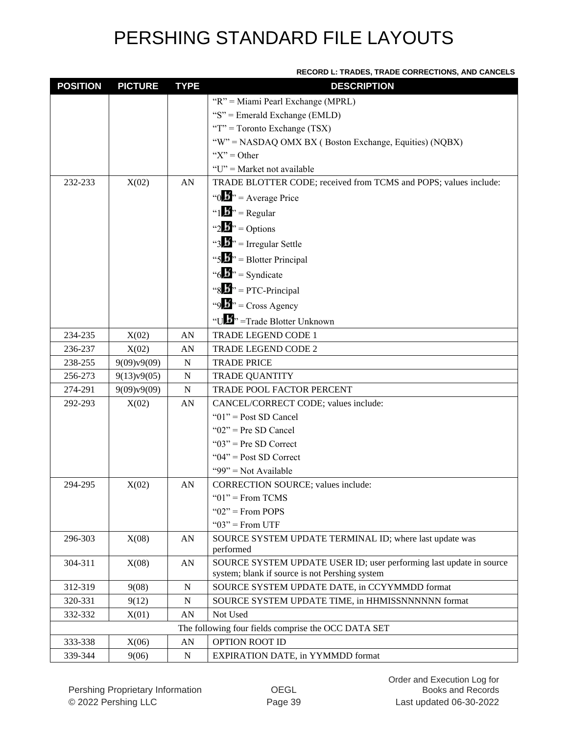| <b>RECORD L: TRADES, TRADE CORRECTIONS, AND CANCELS</b> |  |
|---------------------------------------------------------|--|
|                                                         |  |

| <b>POSITION</b> | <b>PICTURE</b> | <b>TYPE</b> | <b>DESCRIPTION</b>                                                  |
|-----------------|----------------|-------------|---------------------------------------------------------------------|
|                 |                |             | "R" = Miami Pearl Exchange (MPRL)                                   |
|                 |                |             | "S" = Emerald Exchange (EMLD)                                       |
|                 |                |             | "T" = Toronto Exchange $(TSX)$                                      |
|                 |                |             | "W" = NASDAQ OMX BX (Boston Exchange, Equities) (NQBX)              |
|                 |                |             | " $X$ " = Other                                                     |
|                 |                |             | "U" = Market not available                                          |
| 232-233         | X(02)          | AN          | TRADE BLOTTER CODE; received from TCMS and POPS; values include:    |
|                 |                |             | "0 $\mathbf{B}$ " = Average Price                                   |
|                 |                |             | " $1 \cdot \mathbf{B}$ " = Regular                                  |
|                 |                |             | "2 $\mathbf{B}$ " = Options                                         |
|                 |                |             | "3.5" = Irregular Settle                                            |
|                 |                |             | "5 $\mathbf{b}$ " = Blotter Principal                               |
|                 |                |             | " $6.5$ " = Syndicate                                               |
|                 |                |             | "8 $\mathbf{B}$ " = PTC-Principal                                   |
|                 |                |             | "9 $\mathbf{b}$ " = Cross Agency                                    |
|                 |                |             |                                                                     |
|                 |                |             | "ULI" = Trade Blotter Unknown                                       |
| 234-235         | X(02)          | AN          | TRADE LEGEND CODE 1                                                 |
| 236-237         | X(02)          | AN          | <b>TRADE LEGEND CODE 2</b>                                          |
| 238-255         | 9(09)v9(09)    | ${\bf N}$   | <b>TRADE PRICE</b>                                                  |
| 256-273         | 9(13)v9(05)    | N           | <b>TRADE QUANTITY</b>                                               |
| 274-291         | 9(09)v9(09)    | ${\bf N}$   | TRADE POOL FACTOR PERCENT                                           |
| 292-293         | X(02)          | AN          | CANCEL/CORRECT CODE; values include:                                |
|                 |                |             | " $01$ " = Post SD Cancel<br>" $02$ " = Pre SD Cancel               |
|                 |                |             | " $03$ " = Pre SD Correct                                           |
|                 |                |             | " $04$ " = Post SD Correct                                          |
|                 |                |             | "99" = Not Available                                                |
| 294-295         | X(02)          | AN          | <b>CORRECTION SOURCE; values include:</b>                           |
|                 |                |             | " $01$ " = From TCMS                                                |
|                 |                |             | " $02$ " = From POPS                                                |
|                 |                |             | " $03$ " = From UTF                                                 |
| 296-303         | X(08)          | AN          | SOURCE SYSTEM UPDATE TERMINAL ID; where last update was             |
|                 |                |             | performed                                                           |
| 304-311         | X(08)          | AN          | SOURCE SYSTEM UPDATE USER ID; user performing last update in source |
|                 |                |             | system; blank if source is not Pershing system                      |
| 312-319         | 9(08)          | N           | SOURCE SYSTEM UPDATE DATE, in CCYYMMDD format                       |
| 320-331         | 9(12)          | ${\bf N}$   | SOURCE SYSTEM UPDATE TIME, in HHMISSNNNNNN format                   |
| 332-332         | X(01)          | ${\rm AN}$  | Not Used                                                            |
|                 |                |             | The following four fields comprise the OCC DATA SET                 |
| 333-338         | X(06)          | ${\rm AN}$  | OPTION ROOT ID                                                      |
| 339-344         | 9(06)          | ${\bf N}$   | <b>EXPIRATION DATE, in YYMMDD format</b>                            |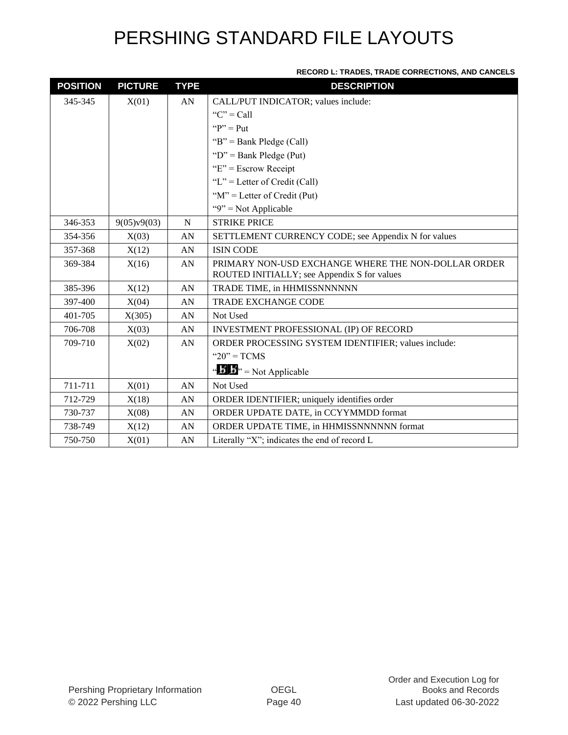#### **RECORD L: TRADES, TRADE CORRECTIONS, AND CANCELS**

| <b>POSITION</b> | <b>PICTURE</b> | <b>TYPE</b> | <b>DESCRIPTION</b>                                  |
|-----------------|----------------|-------------|-----------------------------------------------------|
| 345-345         | X(01)          | AN          | CALL/PUT INDICATOR; values include:                 |
|                 |                |             | " $C$ " = Call                                      |
|                 |                |             | " $P$ " = Put                                       |
|                 |                |             | " $B$ " = Bank Pledge (Call)                        |
|                 |                |             | " $D$ " = Bank Pledge (Put)                         |
|                 |                |             | " $E$ " = Escrow Receipt                            |
|                 |                |             | "L" = Letter of Credit (Call)                       |
|                 |                |             | " $M$ " = Letter of Credit (Put)                    |
|                 |                |             | " $9$ " = Not Applicable                            |
| 346-353         | 9(05)v9(03)    | N           | <b>STRIKE PRICE</b>                                 |
| 354-356         | X(03)          | AN          | SETTLEMENT CURRENCY CODE; see Appendix N for values |
| 357-368         | X(12)          | AN          | <b>ISIN CODE</b>                                    |
| 369-384         | X(16)          | AN          | PRIMARY NON-USD EXCHANGE WHERE THE NON-DOLLAR ORDER |
|                 |                |             | ROUTED INITIALLY; see Appendix S for values         |
| 385-396         | X(12)          | AN          | TRADE TIME, in HHMISSNNNNNN                         |
| 397-400         | X(04)          | AN          | <b>TRADE EXCHANGE CODE</b>                          |
| 401-705         | X(305)         | AN          | Not Used                                            |
| 706-708         | X(03)          | AN          | INVESTMENT PROFESSIONAL (IP) OF RECORD              |
| 709-710         | X(02)          | AN          | ORDER PROCESSING SYSTEM IDENTIFIER; values include: |
|                 |                |             | " $20"$ = TCMS                                      |
|                 |                |             | " $\mathbf{B}$ " = Not Applicable                   |
| 711-711         | X(01)          | AN          | Not Used                                            |
| 712-729         | X(18)          | AN          | ORDER IDENTIFIER; uniquely identifies order         |
| 730-737         | X(08)          | AN          | ORDER UPDATE DATE, in CCYYMMDD format               |
| 738-749         | X(12)          | AN          | ORDER UPDATE TIME, in HHMISSNNNNNN format           |
| 750-750         | X(01)          | AN          | Literally "X"; indicates the end of record L        |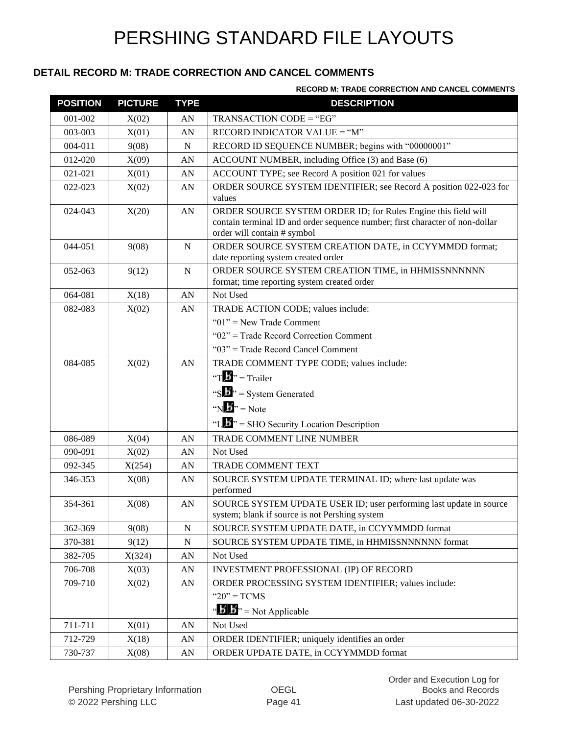#### **DETAIL RECORD M: TRADE CORRECTION AND CANCEL COMMENTS**

#### **RECORD M: TRADE CORRECTION AND CANCEL COMMENTS**

| <b>POSITION</b> | <b>PICTURE</b> | <b>TYPE</b> | <b>DESCRIPTION</b>                                                                                                                                                            |  |
|-----------------|----------------|-------------|-------------------------------------------------------------------------------------------------------------------------------------------------------------------------------|--|
| 001-002         | X(02)          | AN          | TRANSACTION CODE = "EG"                                                                                                                                                       |  |
| 003-003         | X(01)          | AN          | RECORD INDICATOR VALUE = "M"                                                                                                                                                  |  |
| 004-011         | 9(08)          | N           | RECORD ID SEQUENCE NUMBER; begins with "00000001"                                                                                                                             |  |
| 012-020         | X(09)          | AN          | ACCOUNT NUMBER, including Office (3) and Base (6)                                                                                                                             |  |
| 021-021         | X(01)          | AN          | ACCOUNT TYPE; see Record A position 021 for values                                                                                                                            |  |
| 022-023         | X(02)          | AN          | ORDER SOURCE SYSTEM IDENTIFIER; see Record A position 022-023 for<br>values                                                                                                   |  |
| 024-043         | X(20)          | AN          | ORDER SOURCE SYSTEM ORDER ID; for Rules Engine this field will<br>contain terminal ID and order sequence number; first character of non-dollar<br>order will contain # symbol |  |
| 044-051         | 9(08)          | N           | ORDER SOURCE SYSTEM CREATION DATE, in CCYYMMDD format;<br>date reporting system created order                                                                                 |  |
| 052-063         | 9(12)          | ${\bf N}$   | ORDER SOURCE SYSTEM CREATION TIME, in HHMISSNNNNNN<br>format; time reporting system created order                                                                             |  |
| 064-081         | X(18)          | AN          | Not Used                                                                                                                                                                      |  |
| 082-083         | X(02)          | AN          | TRADE ACTION CODE; values include:                                                                                                                                            |  |
|                 |                |             | " $01$ " = New Trade Comment                                                                                                                                                  |  |
|                 |                |             | "02" = Trade Record Correction Comment                                                                                                                                        |  |
|                 |                |             | "03" = Trade Record Cancel Comment                                                                                                                                            |  |
| 084-085         | X(02)          | AN          | TRADE COMMENT TYPE CODE; values include:                                                                                                                                      |  |
|                 |                |             | "T $\mathbf{E}$ " = Trailer                                                                                                                                                   |  |
|                 |                |             | "S $\mathbf{L}$ " = System Generated                                                                                                                                          |  |
|                 |                |             | "N $\mathbf{E}$ " = Note                                                                                                                                                      |  |
|                 |                |             | "L" $\cdot$ " = SHO Security Location Description                                                                                                                             |  |
| 086-089         | X(04)          | AN          | TRADE COMMENT LINE NUMBER                                                                                                                                                     |  |
| 090-091         | X(02)          | AN          | Not Used                                                                                                                                                                      |  |
| 092-345         | X(254)         | AN          | TRADE COMMENT TEXT                                                                                                                                                            |  |
| 346-353         | X(08)          | AN          | SOURCE SYSTEM UPDATE TERMINAL ID; where last update was<br>performed                                                                                                          |  |
| 354-361         | X(08)          | AN          | SOURCE SYSTEM UPDATE USER ID; user performing last update in source<br>system; blank if source is not Pershing system                                                         |  |
| 362-369         | 9(08)          | ${\bf N}$   | SOURCE SYSTEM UPDATE DATE, in CCYYMMDD format                                                                                                                                 |  |
| 370-381         | 9(12)          | N           | SOURCE SYSTEM UPDATE TIME, in HHMISSNNNNNN format                                                                                                                             |  |
| 382-705         | X(324)         | ${\rm AN}$  | Not Used                                                                                                                                                                      |  |
| 706-708         | X(03)          | AN          | INVESTMENT PROFESSIONAL (IP) OF RECORD                                                                                                                                        |  |
| 709-710         | X(02)          | ${\rm AN}$  | ORDER PROCESSING SYSTEM IDENTIFIER; values include:                                                                                                                           |  |
|                 |                |             | " $20$ " = TCMS                                                                                                                                                               |  |
|                 |                |             | " $\mathbf{B}$ " = Not Applicable                                                                                                                                             |  |
| 711-711         | X(01)          | AN          | Not Used                                                                                                                                                                      |  |
| 712-729         | X(18)          | ${\rm AN}$  | ORDER IDENTIFIER; uniquely identifies an order                                                                                                                                |  |
| 730-737         | X(08)          | AN          | ORDER UPDATE DATE, in CCYYMMDD format                                                                                                                                         |  |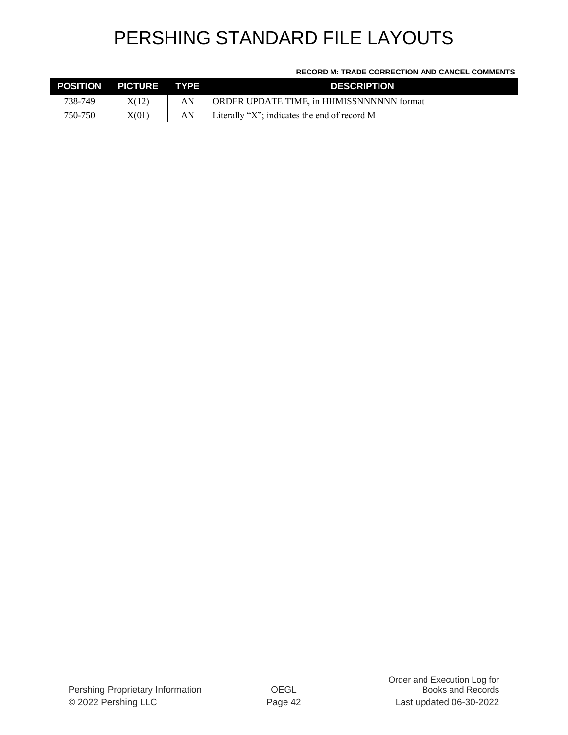#### **RECORD M: TRADE CORRECTION AND CANCEL COMMENTS**

| <b>POSITION</b> | PICTURE TYPE |    | <b>DESCRIPTION</b>                             |
|-----------------|--------------|----|------------------------------------------------|
| 738-749         | X(12)        | AN | ORDER UPDATE TIME, in HHMISSNNNNNN format      |
| 750-750         | X(01)        | AN | Literally "X"; indicates the end of record $M$ |